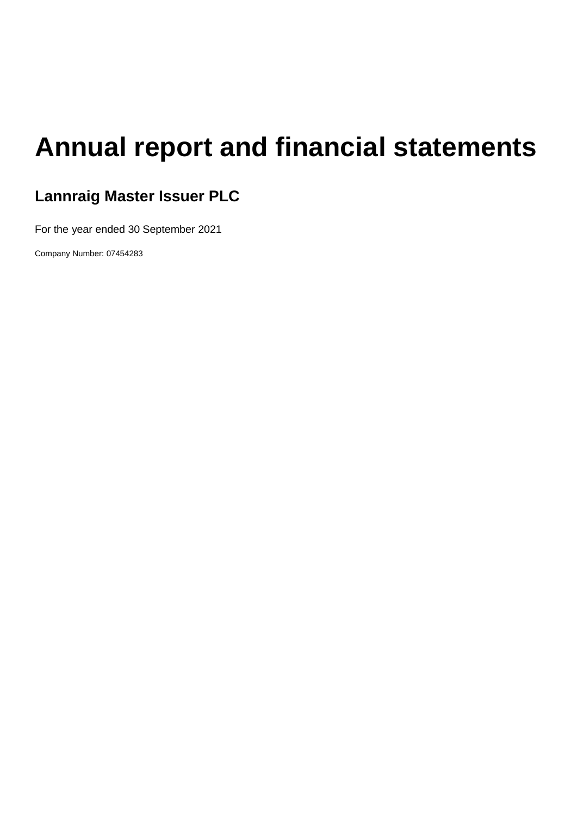# **Annual report and financial statements**

# **Lannraig Master Issuer PLC**

For the year ended 30 September 2021

Company Number: 07454283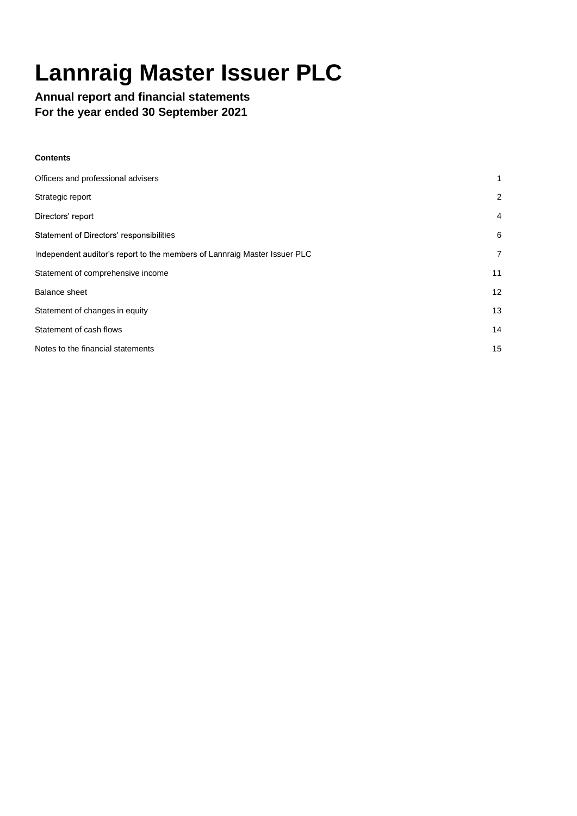# **Lannraig Master Issuer PLC**

# **Annual report and financial statements For the year ended 30 September 2021**

| Contents |  |
|----------|--|
|----------|--|

| Officers and professional advisers                                        |                 |
|---------------------------------------------------------------------------|-----------------|
| Strategic report                                                          | $\overline{2}$  |
| Directors' report                                                         | $\overline{4}$  |
| Statement of Directors' responsibilities                                  | 6               |
| Independent auditor's report to the members of Lannraig Master Issuer PLC | $\overline{7}$  |
| Statement of comprehensive income                                         | 11              |
| <b>Balance sheet</b>                                                      | 12 <sup>2</sup> |
| Statement of changes in equity                                            | 13              |
| Statement of cash flows                                                   | 14              |
| Notes to the financial statements                                         | 15              |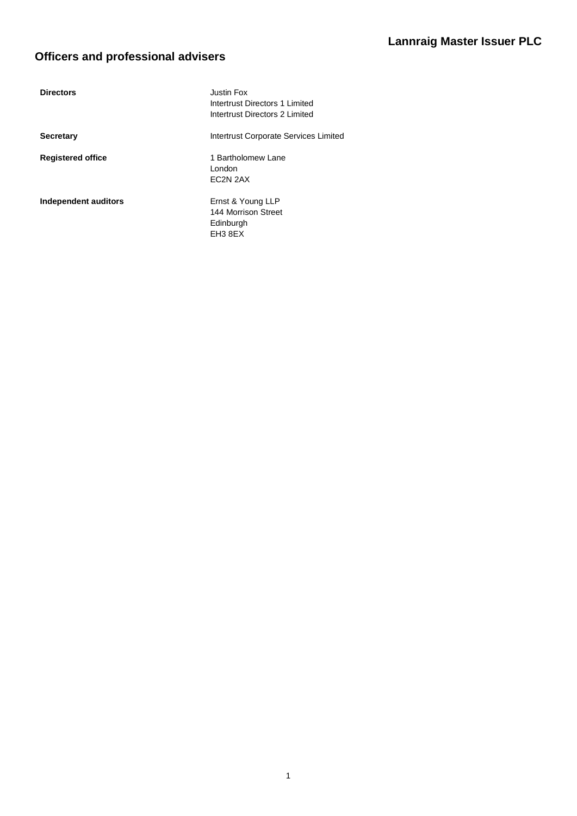# **Lannraig Master Issuer PLC**

# **Officers and professional advisers**

| <b>Directors</b>         | Justin Fox<br>Intertrust Directors 1 Limited<br>Intertrust Directors 2 Limited |
|--------------------------|--------------------------------------------------------------------------------|
| <b>Secretary</b>         | Intertrust Corporate Services Limited                                          |
| <b>Registered office</b> | 1 Bartholomew Lane<br>London<br>EC2N 2AX                                       |
| Independent auditors     | Ernst & Young LLP<br>144 Morrison Street<br>Edinburgh<br>EH3 8EX               |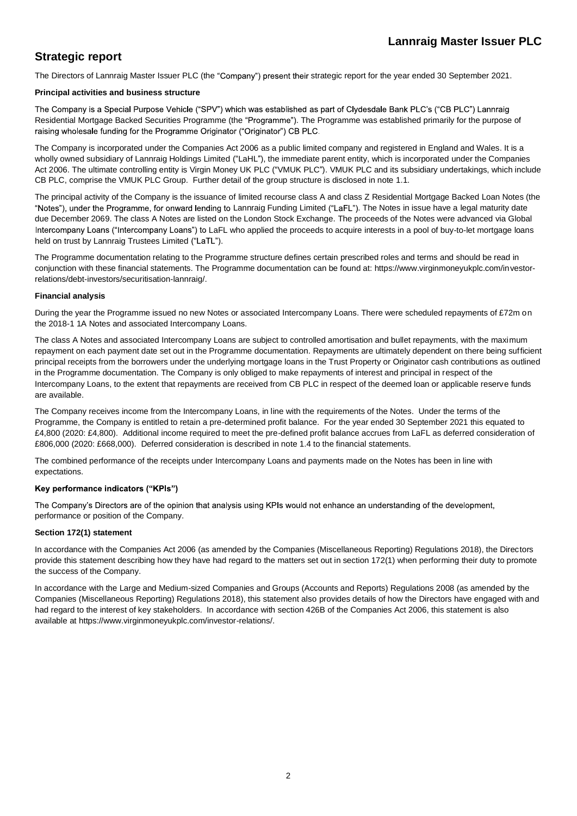# **Strategic report**

The Directors of Lannraig Master Issuer PLC (the "Company") present their strategic report for the year ended 30 September 2021.

#### **Principal activities and business structure**

The Company is a Special Purpose Vehicle ("SPV") which was established as part of Clydesdale Bank PLC's ("CB PLC") Lannraig Residential Mortgage Backed Securities Programme (the "Programme"). The Programme was established primarily for the purpose of raising wholesale funding for the Programme Originator ("Originator") CB PLC.

The Company is incorporated under the Companies Act 2006 as a public limited company and registered in England and Wales. It is a wholly owned subsidiary of Lannraig Holdings Limited ("LaHL"), the immediate parent entity, which is incorporated under the Companies Act 2006. The ultimate controlling entity is Virgin Money UK PLC ("VMUK PLC"). VMUK PLC and its subsidiary undertakings, which include CB PLC, comprise the VMUK PLC Group. Further detail of the group structure is disclosed in note 1.1.

The principal activity of the Company is the issuance of limited recourse class A and class Z Residential Mortgage Backed Loan Notes (the "Notes"), under the Programme, for onward lending to Lannraig Funding Limited ("LaFL"). The Notes in issue have a legal maturity date due December 2069. The class A Notes are listed on the London Stock Exchange. The proceeds of the Notes were advanced via Global Intercompany Loans ("Intercompany Loans") to LaFL who applied the proceeds to acquire interests in a pool of buy-to-let mortgage loans held on trust by Lannraig Trustees Limited ("LaTL").

The Programme documentation relating to the Programme structure defines certain prescribed roles and terms and should be read in conjunction with these financial statements. The Programme documentation can be found at: https://www.virginmoneyukplc.com/investorrelations/debt-investors/securitisation-lannraig/.

#### **Financial analysis**

During the year the Programme issued no new Notes or associated Intercompany Loans. There were scheduled repayments of £72m on the 2018-1 1A Notes and associated Intercompany Loans.

The class A Notes and associated Intercompany Loans are subject to controlled amortisation and bullet repayments, with the maximum repayment on each payment date set out in the Programme documentation. Repayments are ultimately dependent on there being sufficient principal receipts from the borrowers under the underlying mortgage loans in the Trust Property or Originator cash contributions as outlined in the Programme documentation. The Company is only obliged to make repayments of interest and principal in respect of the Intercompany Loans, to the extent that repayments are received from CB PLC in respect of the deemed loan or applicable reserve funds are available.

The Company receives income from the Intercompany Loans, in line with the requirements of the Notes. Under the terms of the Programme, the Company is entitled to retain a pre-determined profit balance. For the year ended 30 September 2021 this equated to £4,800 (2020: £4,800). Additional income required to meet the pre-defined profit balance accrues from LaFL as deferred consideration of £806,000 (2020: £668,000). Deferred consideration is described in note 1.4 to the financial statements.

The combined performance of the receipts under Intercompany Loans and payments made on the Notes has been in line with expectations.

#### Key performance indicators ("KPIs")

The Company's Directors are of the opinion that analysis using KPIs would not enhance an understanding of the development. performance or position of the Company.

#### **Section 172(1) statement**

In accordance with the Companies Act 2006 (as amended by the Companies (Miscellaneous Reporting) Regulations 2018), the Directors provide this statement describing how they have had regard to the matters set out in section 172(1) when performing their duty to promote the success of the Company.

In accordance with the Large and Medium-sized Companies and Groups (Accounts and Reports) Regulations 2008 (as amended by the Companies (Miscellaneous Reporting) Regulations 2018), this statement also provides details of how the Directors have engaged with and had regard to the interest of key stakeholders. In accordance with section 426B of the Companies Act 2006, this statement is also available at https://www.virginmoneyukplc.com/investor-relations/.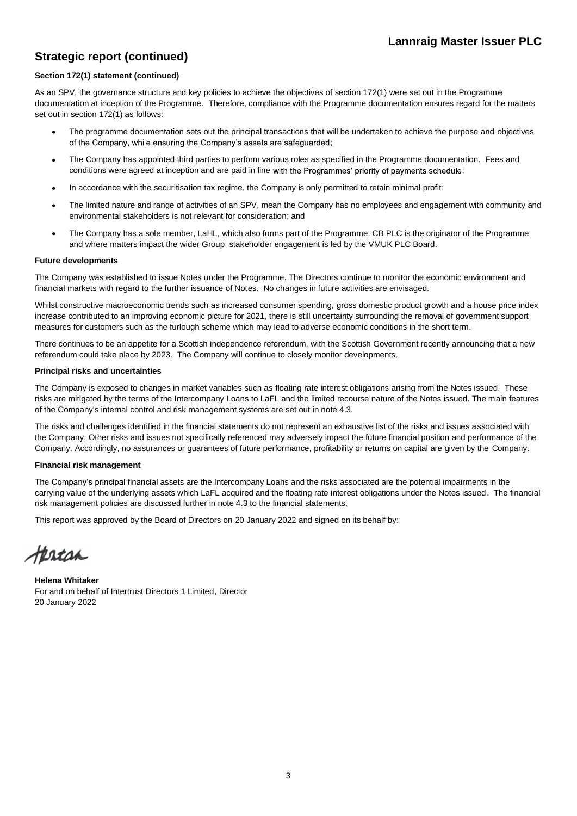# **Strategic report (continued)**

#### **Section 172(1) statement (continued)**

As an SPV, the governance structure and key policies to achieve the objectives of section 172(1) were set out in the Programme documentation at inception of the Programme. Therefore, compliance with the Programme documentation ensures regard for the matters set out in section 172(1) as follows:

- The programme documentation sets out the principal transactions that will be undertaken to achieve the purpose and objectives of the Company, while ensuring the Company's assets are safeguarded;
- The Company has appointed third parties to perform various roles as specified in the Programme documentation. Fees and conditions were agreed at inception and are paid in line with the Programmes' priority of payments schedule;
- In accordance with the securitisation tax regime, the Company is only permitted to retain minimal profit;
- The limited nature and range of activities of an SPV, mean the Company has no employees and engagement with community and environmental stakeholders is not relevant for consideration; and
- The Company has a sole member, LaHL, which also forms part of the Programme. CB PLC is the originator of the Programme and where matters impact the wider Group, stakeholder engagement is led by the VMUK PLC Board.

#### **Future developments**

The Company was established to issue Notes under the Programme. The Directors continue to monitor the economic environment and financial markets with regard to the further issuance of Notes. No changes in future activities are envisaged.

Whilst constructive macroeconomic trends such as increased consumer spending, gross domestic product growth and a house price index increase contributed to an improving economic picture for 2021, there is still uncertainty surrounding the removal of government support measures for customers such as the furlough scheme which may lead to adverse economic conditions in the short term.

There continues to be an appetite for a Scottish independence referendum, with the Scottish Government recently announcing that a new referendum could take place by 2023. The Company will continue to closely monitor developments.

#### **Principal risks and uncertainties**

The Company is exposed to changes in market variables such as floating rate interest obligations arising from the Notes issued. These risks are mitigated by the terms of the Intercompany Loans to LaFL and the limited recourse nature of the Notes issued. The main features of the Company's internal control and risk management systems are set out in note 4.3.

The risks and challenges identified in the financial statements do not represent an exhaustive list of the risks and issues associated with the Company. Other risks and issues not specifically referenced may adversely impact the future financial position and performance of the Company. Accordingly, no assurances or guarantees of future performance, profitability or returns on capital are given by the Company.

#### **Financial risk management**

The Company's principal financial assets are the Intercompany Loans and the risks associated are the potential impairments in the carrying value of the underlying assets which LaFL acquired and the floating rate interest obligations under the Notes issued. The financial risk management policies are discussed further in note 4.3 to the financial statements.

This report was approved by the Board of Directors on 20 January 2022 and signed on its behalf by:

Hercan

**Helena Whitaker** For and on behalf of Intertrust Directors 1 Limited, Director 20 January 2022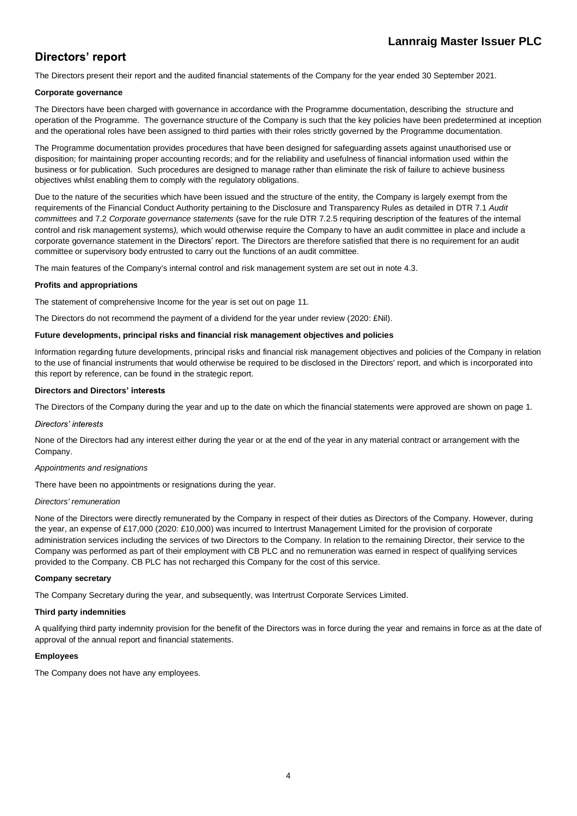# Directors' report

The Directors present their report and the audited financial statements of the Company for the year ended 30 September 2021.

#### **Corporate governance**

The Directors have been charged with governance in accordance with the Programme documentation, describing the structure and operation of the Programme. The governance structure of the Company is such that the key policies have been predetermined at inception and the operational roles have been assigned to third parties with their roles strictly governed by the Programme documentation.

The Programme documentation provides procedures that have been designed for safeguarding assets against unauthorised use or disposition; for maintaining proper accounting records; and for the reliability and usefulness of financial information used within the business or for publication. Such procedures are designed to manage rather than eliminate the risk of failure to achieve business objectives whilst enabling them to comply with the regulatory obligations.

Due to the nature of the securities which have been issued and the structure of the entity, the Company is largely exempt from the requirements of the Financial Conduct Authority pertaining to the Disclosure and Transparency Rules as detailed in DTR 7.1 *Audit committees* and 7.2 *Corporate governance statements* (save for the rule DTR 7.2.5 requiring description of the features of the internal control and risk management systems*),* which would otherwise require the Company to have an audit committee in place and include a corporate governance statement in the Directors' report. The Directors are therefore satisfied that there is no requirement for an audit committee or supervisory body entrusted to carry out the functions of an audit committee.

The main features of the Company's internal control and risk management system are set out in note 4.3.

#### **Profits and appropriations**

The statement of comprehensive Income for the year is set out on page 11.

The Directors do not recommend the payment of a dividend for the year under review (2020: £Nil).

#### **Future developments, principal risks and financial risk management objectives and policies**

Information regarding future developments, principal risks and financial risk management objectives and policies of the Company in relation to the use of financial instruments that would otherwise be required to be disclosed in the Directors' report, and which is incorporated into this report by reference, can be found in the strategic report.

#### **Directors and Directors**

The Directors of the Company during the year and up to the date on which the financial statements were approved are shown on page 1.

#### Directors' interests

None of the Directors had any interest either during the year or at the end of the year in any material contract or arrangement with the Company.

#### *Appointments and resignations*

There have been no appointments or resignations during the year.

#### *Directors' remuneration*

None of the Directors were directly remunerated by the Company in respect of their duties as Directors of the Company. However, during the year, an expense of £17,000 (2020: £10,000) was incurred to Intertrust Management Limited for the provision of corporate administration services including the services of two Directors to the Company. In relation to the remaining Director, their service to the Company was performed as part of their employment with CB PLC and no remuneration was earned in respect of qualifying services provided to the Company. CB PLC has not recharged this Company for the cost of this service.

#### **Company secretary**

The Company Secretary during the year, and subsequently, was Intertrust Corporate Services Limited.

#### **Third party indemnities**

A qualifying third party indemnity provision for the benefit of the Directors was in force during the year and remains in force as at the date of approval of the annual report and financial statements.

#### **Employees**

The Company does not have any employees.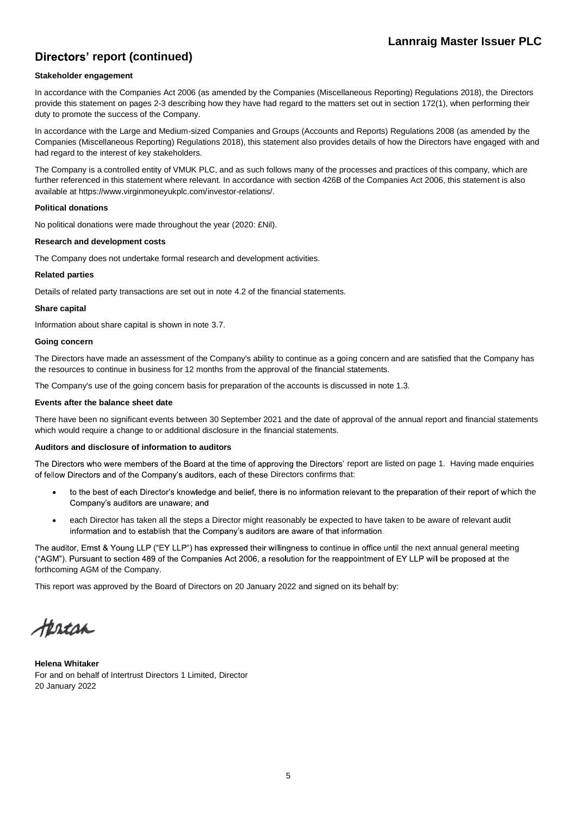# **Directors' report (continued)**

#### **Stakeholder engagement**

In accordance with the Companies Act 2006 (as amended by the Companies (Miscellaneous Reporting) Regulations 2018), the Directors provide this statement on pages 2-3 describing how they have had regard to the matters set out in section 172(1), when performing their duty to promote the success of the Company.

In accordance with the Large and Medium-sized Companies and Groups (Accounts and Reports) Regulations 2008 (as amended by the Companies (Miscellaneous Reporting) Regulations 2018), this statement also provides details of how the Directors have engaged with and had regard to the interest of key stakeholders.

The Company is a controlled entity of VMUK PLC, and as such follows many of the processes and practices of this company, which are further referenced in this statement where relevant. In accordance with section 426B of the Companies Act 2006, this statement is also available at https://www.virginmoneyukplc.com/investor-relations/.

#### **Political donations**

No political donations were made throughout the year (2020: £Nil).

#### **Research and development costs**

The Company does not undertake formal research and development activities.

#### **Related parties**

Details of related party transactions are set out in note 4.2 of the financial statements.

#### **Share capital**

Information about share capital is shown in note 3.7.

#### **Going concern**

The Directors have made an assessment of the Company's ability to continue as a going concern and are satisfied that the Company has the resources to continue in business for 12 months from the approval of the financial statements.

The Company's use of the going concern basis for preparation of the accounts is discussed in note 1.3.

#### **Events after the balance sheet date**

There have been no significant events between 30 September 2021 and the date of approval of the annual report and financial statements which would require a change to or additional disclosure in the financial statements.

#### **Auditors and disclosure of information to auditors**

The Directors who were members of the Board at the time of approving the Directors' report are listed on page 1. Having made enquiries of fellow Directors and of the Company's auditors, each of these Directors confirms that:

- to the best of each Director's knowledge and belief, there is no information relevant to the preparation of their report of which the Company's auditors are unaware; and
- each Director has taken all the steps a Director might reasonably be expected to have taken to be aware of relevant audit information and to establish that the Company's auditors are aware of that information.

The auditor, Ernst & Young LLP ("EY LLP") has expressed their willingness to continue in office until the next annual general meeting ("AGM"). Pursuant to section 489 of the Companies Act 2006, a resolution for the reappointment of EY LLP will be proposed at the forthcoming AGM of the Company.

This report was approved by the Board of Directors on 20 January 2022 and signed on its behalf by:

terecan

**Helena Whitaker** For and on behalf of Intertrust Directors 1 Limited, Director 20 January 2022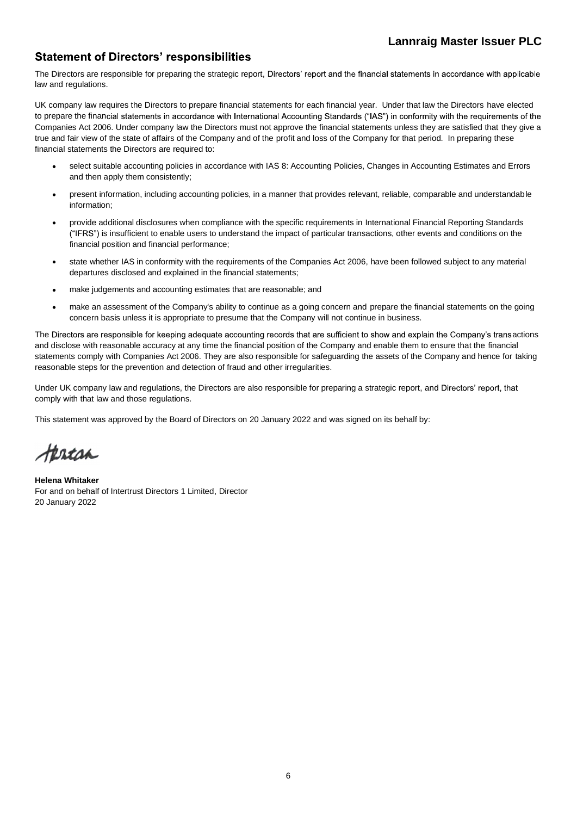### **Statement of Directors' responsibilities**

The Directors are responsible for preparing the strategic report, Directors' report and the financial statements in accordance with applicable law and regulations.

UK company law requires the Directors to prepare financial statements for each financial year. Under that law the Directors have elected to prepare the financial statements in accordance with International Accounting Standards ("IAS") in conformity with the requirements of the Companies Act 2006. Under company law the Directors must not approve the financial statements unless they are satisfied that they give a true and fair view of the state of affairs of the Company and of the profit and loss of the Company for that period. In preparing these financial statements the Directors are required to:

- select suitable accounting policies in accordance with IAS 8: Accounting Policies, Changes in Accounting Estimates and Errors and then apply them consistently;
- present information, including accounting policies, in a manner that provides relevant, reliable, comparable and understandable information;
- provide additional disclosures when compliance with the specific requirements in International Financial Reporting Standards I is insufficient to enable users to understand the impact of particular transactions, other events and conditions on the financial position and financial performance;
- state whether IAS in conformity with the requirements of the Companies Act 2006, have been followed subject to any material departures disclosed and explained in the financial statements;
- make judgements and accounting estimates that are reasonable; and
- make an assessment of the Company's ability to continue as a going concern and prepare the financial statements on the going concern basis unless it is appropriate to presume that the Company will not continue in business.

The Directors are responsible for keeping adequate accounting records that are sufficient to show and explain the Company's transactions and disclose with reasonable accuracy at any time the financial position of the Company and enable them to ensure that the financial statements comply with Companies Act 2006. They are also responsible for safeguarding the assets of the Company and hence for taking reasonable steps for the prevention and detection of fraud and other irregularities.

Under UK company law and regulations, the Directors are also responsible for preparing a strategic report, and Directors' report, that comply with that law and those regulations.

This statement was approved by the Board of Directors on 20 January 2022 and was signed on its behalf by:

Herton

**Helena Whitaker** For and on behalf of Intertrust Directors 1 Limited, Director 20 January 2022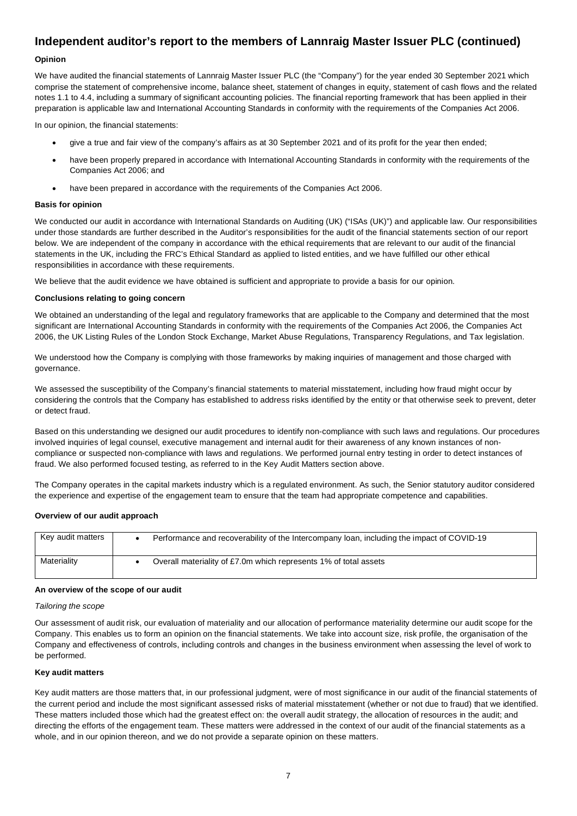#### **Opinion**

We have audited the financial statements of Lannraig Master Issuer PLC (the "Company") for the year ended 30 September 2021 which comprise the statement of comprehensive income, balance sheet, statement of changes in equity, statement of cash flows and the related notes 1.1 to 4.4, including a summary of significant accounting policies. The financial reporting framework that has been applied in their preparation is applicable law and International Accounting Standards in conformity with the requirements of the Companies Act 2006.

In our opinion, the financial statements:

- give a true and fair view of the company's affairs as at 30 September 2021 and of its profit for the year then ended;
- have been properly prepared in accordance with International Accounting Standards in conformity with the requirements of the Companies Act 2006; and
- have been prepared in accordance with the requirements of the Companies Act 2006.

#### **Basis for opinion**

We conducted our audit in accordance with International Standards on Auditing (UK) ("ISAs (UK)") and applicable law. Our responsibilities under those standards are further described in the Auditor's responsibilities for the audit of the financial statements section of our report below. We are independent of the company in accordance with the ethical requirements that are relevant to our audit of the financial statements in the UK, including the FRC's Ethical Standard as applied to listed entities, and we have fulfilled our other ethical responsibilities in accordance with these requirements.

We believe that the audit evidence we have obtained is sufficient and appropriate to provide a basis for our opinion.

#### **Conclusions relating to going concern**

We obtained an understanding of the legal and regulatory frameworks that are applicable to the Company and determined that the most significant are International Accounting Standards in conformity with the requirements of the Companies Act 2006, the Companies Act 2006, the UK Listing Rules of the London Stock Exchange, Market Abuse Regulations, Transparency Regulations, and Tax legislation.

We understood how the Company is complying with those frameworks by making inquiries of management and those charged with governance.

We assessed the susceptibility of the Company's financial statements to material misstatement, including how fraud might occur by considering the controls that the Company has established to address risks identified by the entity or that otherwise seek to prevent, deter or detect fraud.

Based on this understanding we designed our audit procedures to identify non-compliance with such laws and regulations. Our procedures involved inquiries of legal counsel, executive management and internal audit for their awareness of any known instances of noncompliance or suspected non-compliance with laws and regulations. We performed journal entry testing in order to detect instances of fraud. We also performed focused testing, as referred to in the Key Audit Matters section above.

The Company operates in the capital markets industry which is a regulated environment. As such, the Senior statutory auditor considered the experience and expertise of the engagement team to ensure that the team had appropriate competence and capabilities.

#### **Overview of our audit approach**

| Key audit matters | Performance and recoverability of the Intercompany loan, including the impact of COVID-19 |
|-------------------|-------------------------------------------------------------------------------------------|
| Materiality       | Overall materiality of £7.0m which represents 1% of total assets                          |

#### **An overview of the scope of our audit**

#### *Tailoring the scope*

Our assessment of audit risk, our evaluation of materiality and our allocation of performance materiality determine our audit scope for the Company. This enables us to form an opinion on the financial statements. We take into account size, risk profile, the organisation of the Company and effectiveness of controls, including controls and changes in the business environment when assessing the level of work to be performed.

#### **Key audit matters**

Key audit matters are those matters that, in our professional judgment, were of most significance in our audit of the financial statements of the current period and include the most significant assessed risks of material misstatement (whether or not due to fraud) that we identified. These matters included those which had the greatest effect on: the overall audit strategy, the allocation of resources in the audit; and directing the efforts of the engagement team. These matters were addressed in the context of our audit of the financial statements as a whole, and in our opinion thereon, and we do not provide a separate opinion on these matters.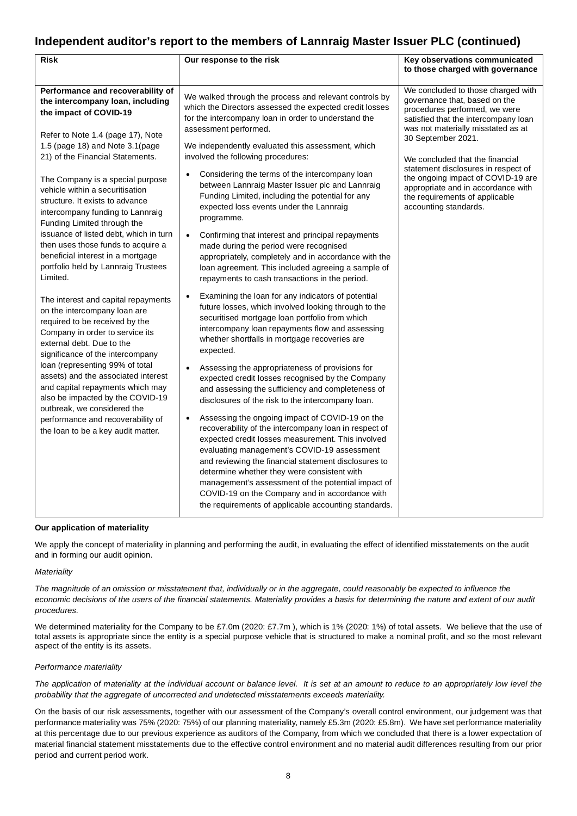| Risk                                                                                                                                                                                                                                                                                                                                                                                                                                                                      | Our response to the risk                                                                                                                                                                                                                                                                                                                                                                                                                                                                                                                                                                                                                                                                                                                                                                                                                                                                                                                                                                                                     | Key observations communicated<br>to those charged with governance                                                                                                                                                                                                                                                                                                                                                         |
|---------------------------------------------------------------------------------------------------------------------------------------------------------------------------------------------------------------------------------------------------------------------------------------------------------------------------------------------------------------------------------------------------------------------------------------------------------------------------|------------------------------------------------------------------------------------------------------------------------------------------------------------------------------------------------------------------------------------------------------------------------------------------------------------------------------------------------------------------------------------------------------------------------------------------------------------------------------------------------------------------------------------------------------------------------------------------------------------------------------------------------------------------------------------------------------------------------------------------------------------------------------------------------------------------------------------------------------------------------------------------------------------------------------------------------------------------------------------------------------------------------------|---------------------------------------------------------------------------------------------------------------------------------------------------------------------------------------------------------------------------------------------------------------------------------------------------------------------------------------------------------------------------------------------------------------------------|
| Performance and recoverability of<br>the intercompany loan, including<br>the impact of COVID-19<br>Refer to Note 1.4 (page 17), Note<br>1.5 (page 18) and Note 3.1 (page<br>21) of the Financial Statements.<br>The Company is a special purpose<br>vehicle within a securitisation<br>structure. It exists to advance<br>intercompany funding to Lannraig<br>Funding Limited through the<br>issuance of listed debt, which in turn<br>then uses those funds to acquire a | We walked through the process and relevant controls by<br>which the Directors assessed the expected credit losses<br>for the intercompany loan in order to understand the<br>assessment performed.<br>We independently evaluated this assessment, which<br>involved the following procedures:<br>Considering the terms of the intercompany loan<br>$\bullet$<br>between Lannraig Master Issuer plc and Lannraig<br>Funding Limited, including the potential for any<br>expected loss events under the Lannraig<br>programme.<br>Confirming that interest and principal repayments<br>$\bullet$<br>made during the period were recognised                                                                                                                                                                                                                                                                                                                                                                                     | We concluded to those charged with<br>governance that, based on the<br>procedures performed, we were<br>satisfied that the intercompany loan<br>was not materially misstated as at<br>30 September 2021.<br>We concluded that the financial<br>statement disclosures in respect of<br>the ongoing impact of COVID-19 are<br>appropriate and in accordance with<br>the requirements of applicable<br>accounting standards. |
| beneficial interest in a mortgage<br>portfolio held by Lannraig Trustees<br>Limited.                                                                                                                                                                                                                                                                                                                                                                                      | appropriately, completely and in accordance with the<br>loan agreement. This included agreeing a sample of<br>repayments to cash transactions in the period.                                                                                                                                                                                                                                                                                                                                                                                                                                                                                                                                                                                                                                                                                                                                                                                                                                                                 |                                                                                                                                                                                                                                                                                                                                                                                                                           |
| The interest and capital repayments<br>on the intercompany loan are<br>required to be received by the<br>Company in order to service its<br>external debt. Due to the<br>significance of the intercompany<br>loan (representing 99% of total<br>assets) and the associated interest<br>and capital repayments which may<br>also be impacted by the COVID-19<br>outbreak, we considered the<br>performance and recoverability of<br>the loan to be a key audit matter.     | Examining the loan for any indicators of potential<br>$\bullet$<br>future losses, which involved looking through to the<br>securitised mortgage loan portfolio from which<br>intercompany loan repayments flow and assessing<br>whether shortfalls in mortgage recoveries are<br>expected.<br>Assessing the appropriateness of provisions for<br>$\bullet$<br>expected credit losses recognised by the Company<br>and assessing the sufficiency and completeness of<br>disclosures of the risk to the intercompany loan.<br>Assessing the ongoing impact of COVID-19 on the<br>$\bullet$<br>recoverability of the intercompany loan in respect of<br>expected credit losses measurement. This involved<br>evaluating management's COVID-19 assessment<br>and reviewing the financial statement disclosures to<br>determine whether they were consistent with<br>management's assessment of the potential impact of<br>COVID-19 on the Company and in accordance with<br>the requirements of applicable accounting standards. |                                                                                                                                                                                                                                                                                                                                                                                                                           |

#### **Our application of materiality**

We apply the concept of materiality in planning and performing the audit, in evaluating the effect of identified misstatements on the audit and in forming our audit opinion.

#### *Materiality*

*The magnitude of an omission or misstatement that, individually or in the aggregate, could reasonably be expected to influence the economic decisions of the users of the financial statements. Materiality provides a basis for determining the nature and extent of our audit procedures.*

We determined materiality for the Company to be £7.0m (2020: £7.7m), which is 1% (2020: 1%) of total assets. We believe that the use of total assets is appropriate since the entity is a special purpose vehicle that is structured to make a nominal profit, and so the most relevant aspect of the entity is its assets.

#### *Performance materiality*

*The application of materiality at the individual account or balance level. It is set at an amount to reduce to an appropriately low level the probability that the aggregate of uncorrected and undetected misstatements exceeds materiality.*

On the basis of our risk assessments, together with our assessment of the Company's overall control environment, our judgement was that performance materiality was 75% (2020: 75%) of our planning materiality, namely £5.3m (2020: £5.8m). We have set performance materiality at this percentage due to our previous experience as auditors of the Company, from which we concluded that there is a lower expectation of material financial statement misstatements due to the effective control environment and no material audit differences resulting from our prior period and current period work.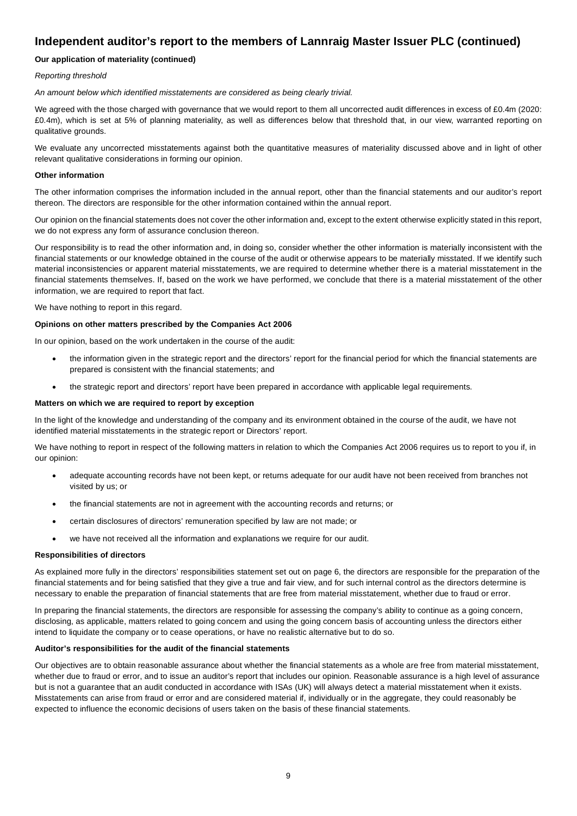### **Our application of materiality (continued)**

#### *Reporting threshold*

*An amount below which identified misstatements are considered as being clearly trivial.*

We agreed with the those charged with governance that we would report to them all uncorrected audit differences in excess of £0.4m (2020: £0.4m), which is set at 5% of planning materiality, as well as differences below that threshold that, in our view, warranted reporting on qualitative grounds.

We evaluate any uncorrected misstatements against both the quantitative measures of materiality discussed above and in light of other relevant qualitative considerations in forming our opinion.

#### **Other information**

The other information comprises the information included in the annual report, other than the financial statements and our auditor's report thereon. The directors are responsible for the other information contained within the annual report.

Our opinion on the financial statements does not cover the other information and, except to the extent otherwise explicitly stated in this report, we do not express any form of assurance conclusion thereon.

Our responsibility is to read the other information and, in doing so, consider whether the other information is materially inconsistent with the financial statements or our knowledge obtained in the course of the audit or otherwise appears to be materially misstated. If we identify such material inconsistencies or apparent material misstatements, we are required to determine whether there is a material misstatement in the financial statements themselves. If, based on the work we have performed, we conclude that there is a material misstatement of the other information, we are required to report that fact.

We have nothing to report in this regard.

#### **Opinions on other matters prescribed by the Companies Act 2006**

In our opinion, based on the work undertaken in the course of the audit:

- the information given in the strategic report and the directors' report for the financial period for which the financial statements are prepared is consistent with the financial statements; and
- the strategic report and directors' report have been prepared in accordance with applicable legal requirements.

#### **Matters on which we are required to report by exception**

In the light of the knowledge and understanding of the company and its environment obtained in the course of the audit, we have not identified material misstatements in the strategic report or Directors' report.

We have nothing to report in respect of the following matters in relation to which the Companies Act 2006 requires us to report to you if, in our opinion:

- adequate accounting records have not been kept, or returns adequate for our audit have not been received from branches not visited by us; or
- the financial statements are not in agreement with the accounting records and returns; or
- certain disclosures of directors' remuneration specified by law are not made; or
- we have not received all the information and explanations we require for our audit.

#### **Responsibilities of directors**

As explained more fully in the directors' responsibilities statement set out on page 6, the directors are responsible for the preparation of the financial statements and for being satisfied that they give a true and fair view, and for such internal control as the directors determine is necessary to enable the preparation of financial statements that are free from material misstatement, whether due to fraud or error.

In preparing the financial statements, the directors are responsible for assessing the company's ability to continue as a going concern, disclosing, as applicable, matters related to going concern and using the going concern basis of accounting unless the directors either intend to liquidate the company or to cease operations, or have no realistic alternative but to do so.

#### **Auditor's responsibilities for the audit of the financial statements**

Our objectives are to obtain reasonable assurance about whether the financial statements as a whole are free from material misstatement, whether due to fraud or error, and to issue an auditor's report that includes our opinion. Reasonable assurance is a high level of assurance but is not a guarantee that an audit conducted in accordance with ISAs (UK) will always detect a material misstatement when it exists. Misstatements can arise from fraud or error and are considered material if, individually or in the aggregate, they could reasonably be expected to influence the economic decisions of users taken on the basis of these financial statements.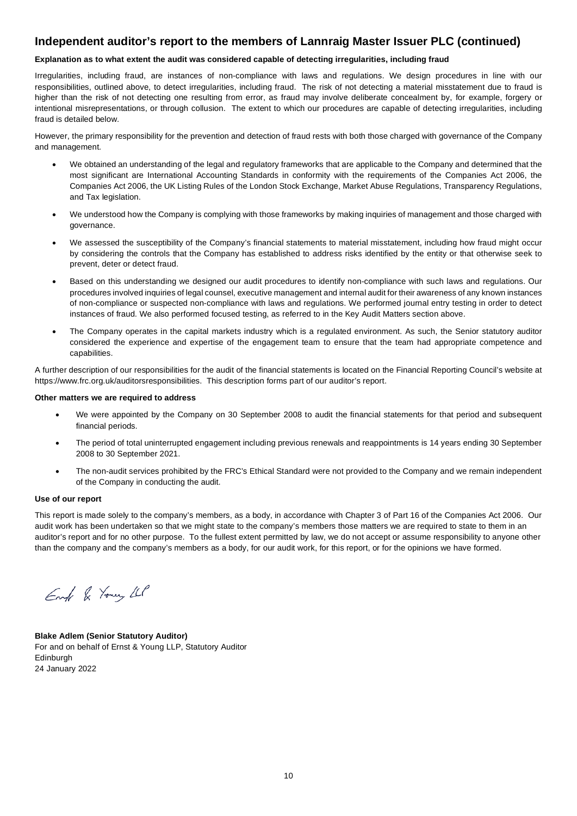#### **Explanation as to what extent the audit was considered capable of detecting irregularities, including fraud**

Irregularities, including fraud, are instances of non-compliance with laws and regulations. We design procedures in line with our responsibilities, outlined above, to detect irregularities, including fraud. The risk of not detecting a material misstatement due to fraud is higher than the risk of not detecting one resulting from error, as fraud may involve deliberate concealment by, for example, forgery or intentional misrepresentations, or through collusion. The extent to which our procedures are capable of detecting irregularities, including fraud is detailed below.

However, the primary responsibility for the prevention and detection of fraud rests with both those charged with governance of the Company and management.

- We obtained an understanding of the legal and regulatory frameworks that are applicable to the Company and determined that the most significant are International Accounting Standards in conformity with the requirements of the Companies Act 2006, the Companies Act 2006, the UK Listing Rules of the London Stock Exchange, Market Abuse Regulations, Transparency Regulations, and Tax legislation.
- We understood how the Company is complying with those frameworks by making inquiries of management and those charged with governance.
- We assessed the susceptibility of the Company's financial statements to material misstatement, including how fraud might occur by considering the controls that the Company has established to address risks identified by the entity or that otherwise seek to prevent, deter or detect fraud.
- Based on this understanding we designed our audit procedures to identify non-compliance with such laws and regulations. Our procedures involved inquiries of legal counsel, executive management and internal audit for their awareness of any known instances of non-compliance or suspected non-compliance with laws and regulations. We performed journal entry testing in order to detect instances of fraud. We also performed focused testing, as referred to in the Key Audit Matters section above.
- The Company operates in the capital markets industry which is a regulated environment. As such, the Senior statutory auditor considered the experience and expertise of the engagement team to ensure that the team had appropriate competence and capabilities.

A further description of our responsibilities for the audit of the financial statements is located on the Financial Reporting Council's website at https://www.frc.org.uk/auditorsresponsibilities. This description forms part of our auditor's report.

#### **Other matters we are required to address**

- We were appointed by the Company on 30 September 2008 to audit the financial statements for that period and subsequent financial periods.
- The period of total uninterrupted engagement including previous renewals and reappointments is 14 years ending 30 September 2008 to 30 September 2021.
- The non-audit services prohibited by the FRC's Ethical Standard were not provided to the Company and we remain independent of the Company in conducting the audit.

#### **Use of our report**

This report is made solely to the company's members, as a body, in accordance with Chapter 3 of Part 16 of the Companies Act 2006. Our audit work has been undertaken so that we might state to the company's members those matters we are required to state to them in an auditor's report and for no other purpose. To the fullest extent permitted by law, we do not accept or assume responsibility to anyone other than the company and the company's members as a body, for our audit work, for this report, or for the opinions we have formed.

Engl & Young LLP

**Blake Adlem (Senior Statutory Auditor)** For and on behalf of Ernst & Young LLP, Statutory Auditor Edinburgh 24 January 2022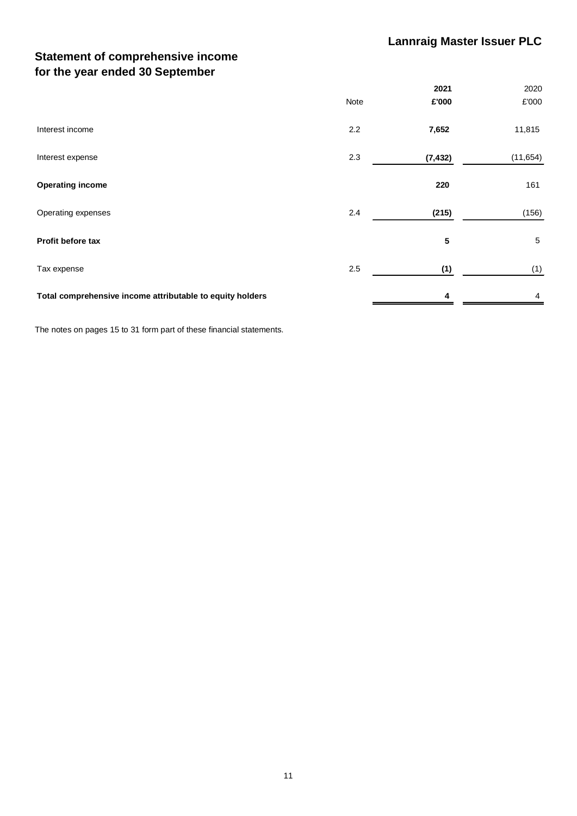# **Statement of comprehensive income for the year ended 30 September**

|                                                           |      | 2021     | 2020      |
|-----------------------------------------------------------|------|----------|-----------|
|                                                           | Note | £'000    | £'000     |
| Interest income                                           | 2.2  | 7,652    | 11,815    |
| Interest expense                                          | 2.3  | (7, 432) | (11, 654) |
| <b>Operating income</b>                                   |      | 220      | 161       |
| Operating expenses                                        | 2.4  | (215)    | (156)     |
| Profit before tax                                         |      | 5        | 5         |
| Tax expense                                               | 2.5  | (1)      | (1)       |
| Total comprehensive income attributable to equity holders |      | 4        | 4         |

The notes on pages 15 to 31 form part of these financial statements.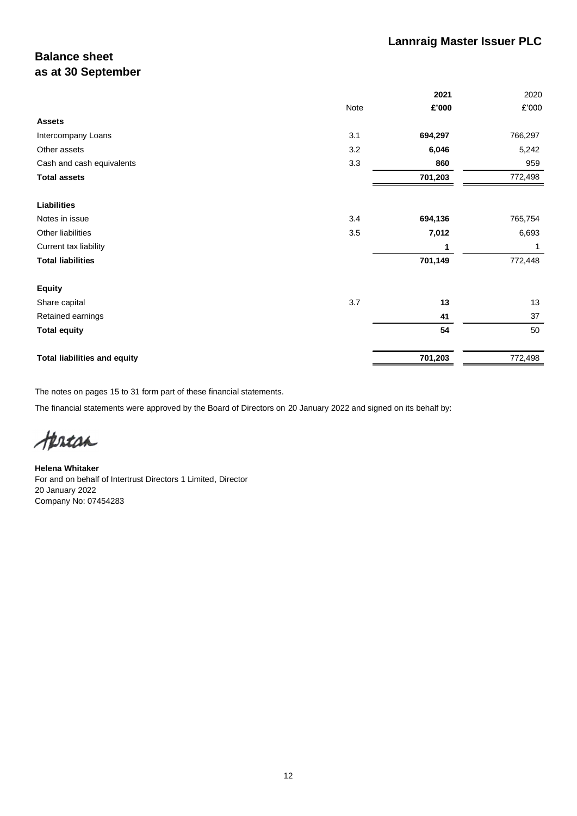# **Balance sheet as at 30 September**

|                                     | 2021           | 2020    |
|-------------------------------------|----------------|---------|
|                                     | Note<br>£'000  | £'000   |
| <b>Assets</b>                       |                |         |
| Intercompany Loans                  | 3.1<br>694,297 | 766,297 |
| Other assets                        | 3.2<br>6,046   | 5,242   |
| Cash and cash equivalents           | 3.3<br>860     | 959     |
| <b>Total assets</b>                 | 701,203        | 772,498 |
| Liabilities                         |                |         |
| Notes in issue                      | 3.4<br>694,136 | 765,754 |
| Other liabilities                   | 3.5<br>7,012   | 6,693   |
| Current tax liability               | 1              | 1       |
| <b>Total liabilities</b>            | 701,149        | 772,448 |
| <b>Equity</b>                       |                |         |
| Share capital                       | 3.7<br>13      | 13      |
| Retained earnings                   | 41             | 37      |
| <b>Total equity</b>                 | 54             | 50      |
| <b>Total liabilities and equity</b> | 701,203        | 772,498 |

The notes on pages 15 to 31 form part of these financial statements.

The financial statements were approved by the Board of Directors on 20 January 2022 and signed on its behalf by:

tertan

**Helena Whitaker** For and on behalf of Intertrust Directors 1 Limited, Director 20 January 2022 Company No: 07454283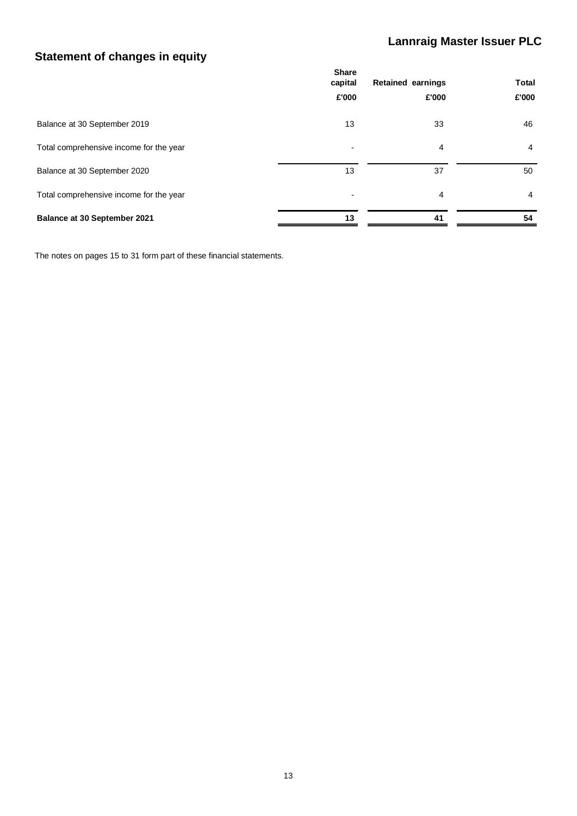# **Lannraig Master Issuer PLC**

# **Statement of changes in equity**

|                                         | <b>Share</b><br>capital  | <b>Retained earnings</b> | <b>Total</b>   |
|-----------------------------------------|--------------------------|--------------------------|----------------|
|                                         | £'000                    | £'000                    | £'000          |
| Balance at 30 September 2019            | 13                       | 33                       | 46             |
| Total comprehensive income for the year | $\overline{\phantom{0}}$ | 4                        | $\overline{4}$ |
| Balance at 30 September 2020            | 13                       | 37                       | 50             |
| Total comprehensive income for the year | $\overline{\phantom{0}}$ | 4                        | 4              |
| Balance at 30 September 2021            | 13                       | 41                       | 54             |

The notes on pages 15 to 31 form part of these financial statements.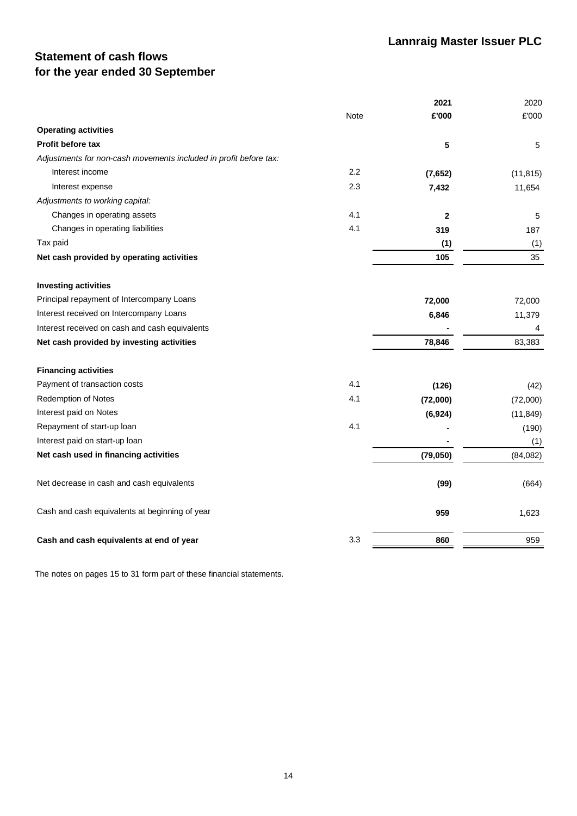# **Statement of cash flows for the year ended 30 September**

|                                                                   |      | 2021        | 2020      |
|-------------------------------------------------------------------|------|-------------|-----------|
|                                                                   | Note | £'000       | £'000     |
| <b>Operating activities</b>                                       |      |             |           |
| <b>Profit before tax</b>                                          |      | 5           | 5         |
| Adjustments for non-cash movements included in profit before tax: |      |             |           |
| Interest income                                                   | 2.2  | (7,652)     | (11, 815) |
| Interest expense                                                  | 2.3  | 7,432       | 11,654    |
| Adjustments to working capital:                                   |      |             |           |
| Changes in operating assets                                       | 4.1  | $\mathbf 2$ | 5         |
| Changes in operating liabilities                                  | 4.1  | 319         | 187       |
| Tax paid                                                          |      | (1)         | (1)       |
| Net cash provided by operating activities                         |      | 105         | 35        |
| <b>Investing activities</b>                                       |      |             |           |
| Principal repayment of Intercompany Loans                         |      | 72,000      | 72,000    |
| Interest received on Intercompany Loans                           |      | 6,846       | 11,379    |
| Interest received on cash and cash equivalents                    |      |             | 4         |
| Net cash provided by investing activities                         |      | 78,846      | 83,383    |
| <b>Financing activities</b>                                       |      |             |           |
| Payment of transaction costs                                      | 4.1  | (126)       | (42)      |
| <b>Redemption of Notes</b>                                        | 4.1  | (72,000)    | (72,000)  |
| Interest paid on Notes                                            |      | (6, 924)    | (11, 849) |
| Repayment of start-up loan                                        | 4.1  |             | (190)     |
| Interest paid on start-up loan                                    |      |             | (1)       |
| Net cash used in financing activities                             |      | (79, 050)   | (84,082)  |
| Net decrease in cash and cash equivalents                         |      | (99)        | (664)     |
| Cash and cash equivalents at beginning of year                    |      | 959         | 1,623     |
| Cash and cash equivalents at end of year                          | 3.3  | 860         | 959       |

The notes on pages 15 to 31 form part of these financial statements.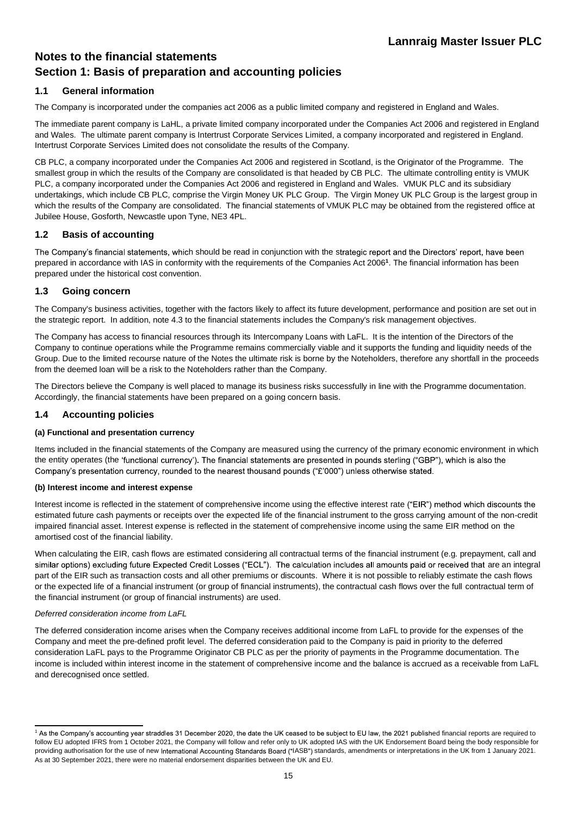# **Notes to the financial statements Section 1: Basis of preparation and accounting policies**

### **1.1 General information**

The Company is incorporated under the companies act 2006 as a public limited company and registered in England and Wales.

The immediate parent company is LaHL, a private limited company incorporated under the Companies Act 2006 and registered in England and Wales. The ultimate parent company is Intertrust Corporate Services Limited, a company incorporated and registered in England. Intertrust Corporate Services Limited does not consolidate the results of the Company.

CB PLC, a company incorporated under the Companies Act 2006 and registered in Scotland, is the Originator of the Programme. The smallest group in which the results of the Company are consolidated is that headed by CB PLC. The ultimate controlling entity is VMUK PLC, a company incorporated under the Companies Act 2006 and registered in England and Wales. VMUK PLC and its subsidiary undertakings, which include CB PLC, comprise the Virgin Money UK PLC Group. The Virgin Money UK PLC Group is the largest group in which the results of the Company are consolidated. The financial statements of VMUK PLC may be obtained from the registered office at Jubilee House, Gosforth, Newcastle upon Tyne, NE3 4PL.

### **1.2 Basis of accounting**

The Company's financial statements, which should be read in conjunction with the strategic report and the Directors' report, have been prepared in accordance with IAS in conformity with the requirements of the Companies Act 2006**<sup>1</sup>** . The financial information has been prepared under the historical cost convention.

### **1.3 Going concern**

The Company's business activities, together with the factors likely to affect its future development, performance and position are set out in the strategic report. In addition, note 4.3 to the financial statements includes the Company's risk management objectives.

The Company has access to financial resources through its Intercompany Loans with LaFL. It is the intention of the Directors of the Company to continue operations while the Programme remains commercially viable and it supports the funding and liquidity needs of the Group. Due to the limited recourse nature of the Notes the ultimate risk is borne by the Noteholders, therefore any shortfall in the proceeds from the deemed loan will be a risk to the Noteholders rather than the Company.

The Directors believe the Company is well placed to manage its business risks successfully in line with the Programme documentation. Accordingly, the financial statements have been prepared on a going concern basis.

#### **1.4 Accounting policies**

#### **(a) Functional and presentation currency**

Items included in the financial statements of the Company are measured using the currency of the primary economic environment in which the entity operates (the 'functional currency'). The financial statements are presented in pounds sterling ("GBP"), which is also the Company's presentation currency, rounded to the nearest thousand pounds ("£'000") unless otherwise stated.

#### **(b) Interest income and interest expense**

Interest income is reflected in the statement of comprehensive income using the effective interest rate ("EIR") method which discounts the estimated future cash payments or receipts over the expected life of the financial instrument to the gross carrying amount of the non-credit impaired financial asset. Interest expense is reflected in the statement of comprehensive income using the same EIR method on the amortised cost of the financial liability.

When calculating the EIR, cash flows are estimated considering all contractual terms of the financial instrument (e.g. prepayment, call and similar options) excluding future Expected Credit Losses ("ECL"). The calculation includes all amounts paid or received that are an integral part of the EIR such as transaction costs and all other premiums or discounts. Where it is not possible to reliably estimate the cash flows or the expected life of a financial instrument (or group of financial instruments), the contractual cash flows over the full contractual term of the financial instrument (or group of financial instruments) are used.

#### *Deferred consideration income from LaFL*

The deferred consideration income arises when the Company receives additional income from LaFL to provide for the expenses of the Company and meet the pre-defined profit level. The deferred consideration paid to the Company is paid in priority to the deferred consideration LaFL pays to the Programme Originator CB PLC as per the priority of payments in the Programme documentation. The income is included within interest income in the statement of comprehensive income and the balance is accrued as a receivable from LaFL and derecognised once settled.

<sup>1</sup> As the Company's accounting year straddles 31 December 2020, the date the UK ceased to be subject to EU law, the 2021 published financial reports are required to follow EU adopted IFRS from 1 October 2021, the Company will follow and refer only to UK adopted IAS with the UK Endorsement Board being the body responsible for providing authorisation for the use of new International Accounting Standards Board ("IASB") standards, amendments or interpretations in the UK from 1 January 2021. As at 30 September 2021, there were no material endorsement disparities between the UK and EU.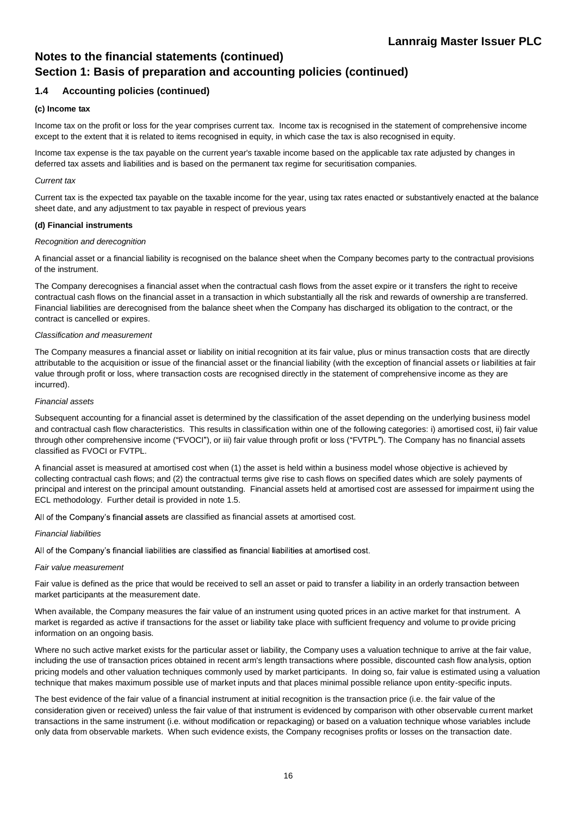### **Notes to the financial statements (continued) Section 1: Basis of preparation and accounting policies (continued)**

### **1.4 Accounting policies (continued)**

#### **(c) Income tax**

Income tax on the profit or loss for the year comprises current tax. Income tax is recognised in the statement of comprehensive income except to the extent that it is related to items recognised in equity, in which case the tax is also recognised in equity.

Income tax expense is the tax payable on the current year's taxable income based on the applicable tax rate adjusted by changes in deferred tax assets and liabilities and is based on the permanent tax regime for securitisation companies.

#### *Current tax*

Current tax is the expected tax payable on the taxable income for the year, using tax rates enacted or substantively enacted at the balance sheet date, and any adjustment to tax payable in respect of previous years

#### **(d) Financial instruments**

#### *Recognition and derecognition*

A financial asset or a financial liability is recognised on the balance sheet when the Company becomes party to the contractual provisions of the instrument.

The Company derecognises a financial asset when the contractual cash flows from the asset expire or it transfers the right to receive contractual cash flows on the financial asset in a transaction in which substantially all the risk and rewards of ownership are transferred. Financial liabilities are derecognised from the balance sheet when the Company has discharged its obligation to the contract, or the contract is cancelled or expires.

#### *Classification and measurement*

The Company measures a financial asset or liability on initial recognition at its fair value, plus or minus transaction costs that are directly attributable to the acquisition or issue of the financial asset or the financial liability (with the exception of financial assets or liabilities at fair value through profit or loss, where transaction costs are recognised directly in the statement of comprehensive income as they are incurred).

#### *Financial assets*

Subsequent accounting for a financial asset is determined by the classification of the asset depending on the underlying business model and contractual cash flow characteristics. This results in classification within one of the following categories: i) amortised cost, ii) fair value through other comprehensive income ("FVOCI"), or iii) fair value through profit or loss ("FVTPL"). The Company has no financial assets classified as FVOCI or FVTPL.

A financial asset is measured at amortised cost when (1) the asset is held within a business model whose objective is achieved by collecting contractual cash flows; and (2) the contractual terms give rise to cash flows on specified dates which are solely payments of principal and interest on the principal amount outstanding. Financial assets held at amortised cost are assessed for impairment using the ECL methodology. Further detail is provided in note 1.5.

All of the Company's financial assets are classified as financial assets at amortised cost.

#### *Financial liabilities*

All of the Company's financial liabilities are classified as financial liabilities at amortised cost.

#### *Fair value measurement*

Fair value is defined as the price that would be received to sell an asset or paid to transfer a liability in an orderly transaction between market participants at the measurement date.

When available, the Company measures the fair value of an instrument using quoted prices in an active market for that instrument. A market is regarded as active if transactions for the asset or liability take place with sufficient frequency and volume to provide pricing information on an ongoing basis.

Where no such active market exists for the particular asset or liability, the Company uses a valuation technique to arrive at the fair value, including the use of transaction prices obtained in recent arm's length transactions where possible, discounted cash flow analysis, option pricing models and other valuation techniques commonly used by market participants. In doing so, fair value is estimated using a valuation technique that makes maximum possible use of market inputs and that places minimal possible reliance upon entity-specific inputs.

The best evidence of the fair value of a financial instrument at initial recognition is the transaction price (i.e. the fair value of the consideration given or received) unless the fair value of that instrument is evidenced by comparison with other observable current market transactions in the same instrument (i.e. without modification or repackaging) or based on a valuation technique whose variables include only data from observable markets. When such evidence exists, the Company recognises profits or losses on the transaction date.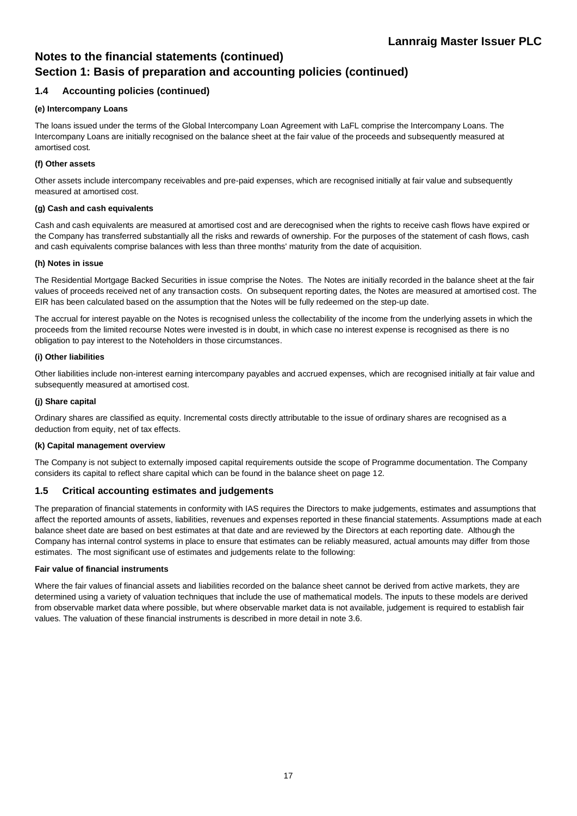# **Notes to the financial statements (continued) Section 1: Basis of preparation and accounting policies (continued)**

### **1.4 Accounting policies (continued)**

#### **(e) Intercompany Loans**

The loans issued under the terms of the Global Intercompany Loan Agreement with LaFL comprise the Intercompany Loans. The Intercompany Loans are initially recognised on the balance sheet at the fair value of the proceeds and subsequently measured at amortised cost.

#### **(f) Other assets**

Other assets include intercompany receivables and pre-paid expenses, which are recognised initially at fair value and subsequently measured at amortised cost.

#### **(g) Cash and cash equivalents**

Cash and cash equivalents are measured at amortised cost and are derecognised when the rights to receive cash flows have expired or the Company has transferred substantially all the risks and rewards of ownership. For the purposes of the statement of cash flows, cash and cash equivalents comprise balances with less than three months' maturity from the date of acquisition.

#### **(h) Notes in issue**

The Residential Mortgage Backed Securities in issue comprise the Notes. The Notes are initially recorded in the balance sheet at the fair values of proceeds received net of any transaction costs. On subsequent reporting dates, the Notes are measured at amortised cost. The EIR has been calculated based on the assumption that the Notes will be fully redeemed on the step-up date.

The accrual for interest payable on the Notes is recognised unless the collectability of the income from the underlying assets in which the proceeds from the limited recourse Notes were invested is in doubt, in which case no interest expense is recognised as there is no obligation to pay interest to the Noteholders in those circumstances.

#### **(i) Other liabilities**

Other liabilities include non-interest earning intercompany payables and accrued expenses, which are recognised initially at fair value and subsequently measured at amortised cost.

#### **(j) Share capital**

Ordinary shares are classified as equity. Incremental costs directly attributable to the issue of ordinary shares are recognised as a deduction from equity, net of tax effects.

#### **(k) Capital management overview**

The Company is not subject to externally imposed capital requirements outside the scope of Programme documentation. The Company considers its capital to reflect share capital which can be found in the balance sheet on page 12.

#### **1.5 Critical accounting estimates and judgements**

The preparation of financial statements in conformity with IAS requires the Directors to make judgements, estimates and assumptions that affect the reported amounts of assets, liabilities, revenues and expenses reported in these financial statements. Assumptions made at each balance sheet date are based on best estimates at that date and are reviewed by the Directors at each reporting date. Although the Company has internal control systems in place to ensure that estimates can be reliably measured, actual amounts may differ from those estimates. The most significant use of estimates and judgements relate to the following:

#### **Fair value of financial instruments**

Where the fair values of financial assets and liabilities recorded on the balance sheet cannot be derived from active markets, they are determined using a variety of valuation techniques that include the use of mathematical models. The inputs to these models are derived from observable market data where possible, but where observable market data is not available, judgement is required to establish fair values. The valuation of these financial instruments is described in more detail in note 3.6.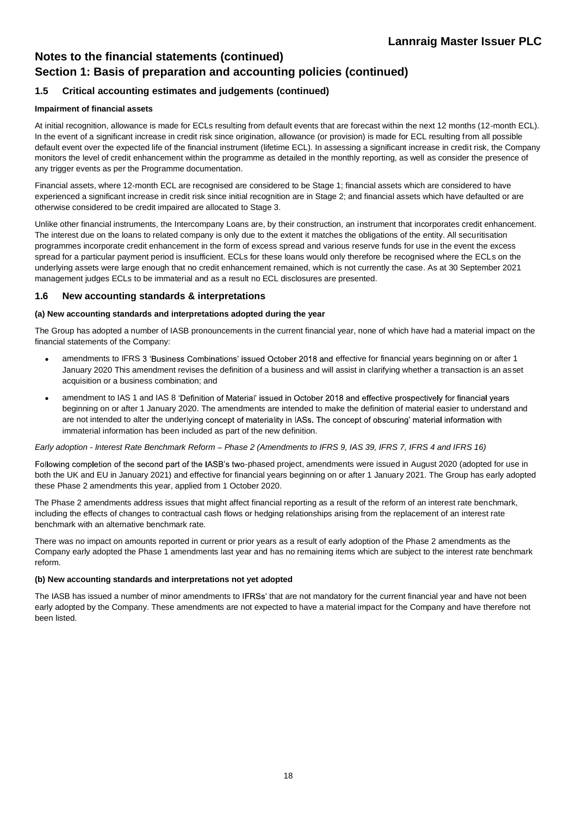# **Notes to the financial statements (continued) Section 1: Basis of preparation and accounting policies (continued)**

### **1.5 Critical accounting estimates and judgements (continued)**

### **Impairment of financial assets**

At initial recognition, allowance is made for ECLs resulting from default events that are forecast within the next 12 months (12-month ECL). In the event of a significant increase in credit risk since origination, allowance (or provision) is made for ECL resulting from all possible default event over the expected life of the financial instrument (lifetime ECL). In assessing a significant increase in credit risk, the Company monitors the level of credit enhancement within the programme as detailed in the monthly reporting, as well as consider the presence of any trigger events as per the Programme documentation.

Financial assets, where 12-month ECL are recognised are considered to be Stage 1; financial assets which are considered to have experienced a significant increase in credit risk since initial recognition are in Stage 2; and financial assets which have defaulted or are otherwise considered to be credit impaired are allocated to Stage 3.

Unlike other financial instruments, the Intercompany Loans are, by their construction, an instrument that incorporates credit enhancement. The interest due on the loans to related company is only due to the extent it matches the obligations of the entity. All securitisation programmes incorporate credit enhancement in the form of excess spread and various reserve funds for use in the event the excess spread for a particular payment period is insufficient. ECLs for these loans would only therefore be recognised where the ECLs on the underlying assets were large enough that no credit enhancement remained, which is not currently the case. As at 30 September 2021 management judges ECLs to be immaterial and as a result no ECL disclosures are presented.

### **1.6 New accounting standards & interpretations**

#### **(a) New accounting standards and interpretations adopted during the year**

The Group has adopted a number of IASB pronouncements in the current financial year, none of which have had a material impact on the financial statements of the Company:

- amendments to IFRS 3 'Business Combinations' issued October 2018 and effective for financial years beginning on or after 1 January 2020 This amendment revises the definition of a business and will assist in clarifying whether a transaction is an asset acquisition or a business combination; and
- amendment to IAS 1 and IAS 8 'Definition of Material' issued in October 2018 and effective prospectively for financial years beginning on or after 1 January 2020. The amendments are intended to make the definition of material easier to understand and are not intended to alter the underlying concept of materiality in IASs. The concept of obscuring' material information with immaterial information has been included as part of the new definition.

#### *Early adoption - Interest Rate Benchmark Reform Phase 2 (Amendments to IFRS 9, IAS 39, IFRS 7, IFRS 4 and IFRS 16)*

Following completion of the second part of the IASB's two-phased project, amendments were issued in August 2020 (adopted for use in both the UK and EU in January 2021) and effective for financial years beginning on or after 1 January 2021. The Group has early adopted these Phase 2 amendments this year, applied from 1 October 2020.

The Phase 2 amendments address issues that might affect financial reporting as a result of the reform of an interest rate benchmark, including the effects of changes to contractual cash flows or hedging relationships arising from the replacement of an interest rate benchmark with an alternative benchmark rate.

There was no impact on amounts reported in current or prior years as a result of early adoption of the Phase 2 amendments as the Company early adopted the Phase 1 amendments last year and has no remaining items which are subject to the interest rate benchmark reform.

#### **(b) New accounting standards and interpretations not yet adopted**

The IASB has issued a number of minor amendments to IFRSs' that are not mandatory for the current financial year and have not been early adopted by the Company. These amendments are not expected to have a material impact for the Company and have therefore not been listed.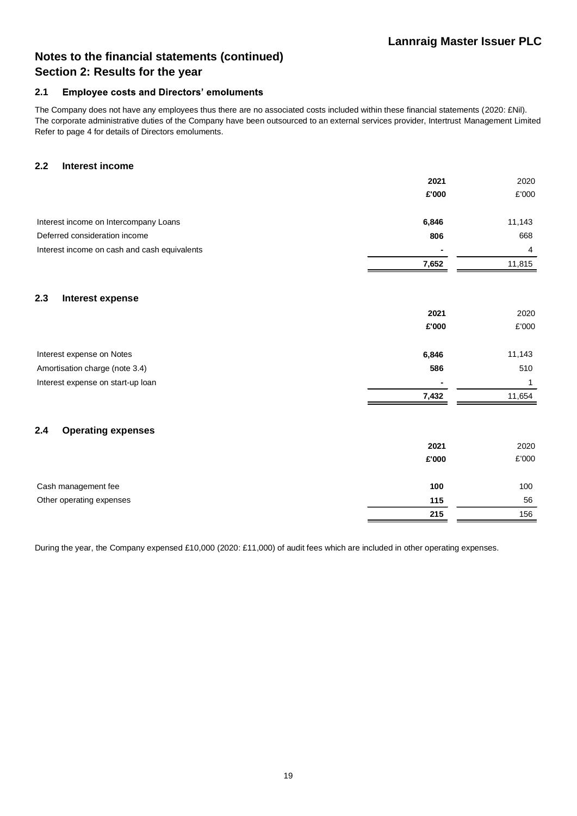# **Notes to the financial statements (continued) Section 2: Results for the year**

#### **2.1 Employee costs and Directors' emoluments**

The Company does not have any employees thus there are no associated costs included within these financial statements (2020: £Nil). The corporate administrative duties of the Company have been outsourced to an external services provider, Intertrust Management Limited Refer to page 4 for details of Directors emoluments.

### **2.2 Interest income**

|                                              | 2021  | 2020   |
|----------------------------------------------|-------|--------|
|                                              | £'000 | £'000  |
| Interest income on Intercompany Loans        | 6,846 | 11,143 |
| Deferred consideration income                | 806   | 668    |
| Interest income on cash and cash equivalents |       | 4      |
|                                              | 7,652 | 11,815 |
| 2.3<br>Interest expense                      |       |        |
|                                              | 2021  | 2020   |
|                                              | £'000 | £'000  |
| Interest expense on Notes                    | 6,846 | 11,143 |
| Amortisation charge (note 3.4)               | 586   | 510    |
| Interest expense on start-up loan            |       | 1      |
|                                              | 7,432 | 11,654 |
| <b>Operating expenses</b><br>2.4             |       |        |
|                                              | 2021  | 2020   |
|                                              | £'000 | £'000  |
| Cash management fee                          | 100   | 100    |
| Other operating expenses                     | 115   | 56     |
|                                              | 215   | 156    |

During the year, the Company expensed £10,000 (2020: £11,000) of audit fees which are included in other operating expenses.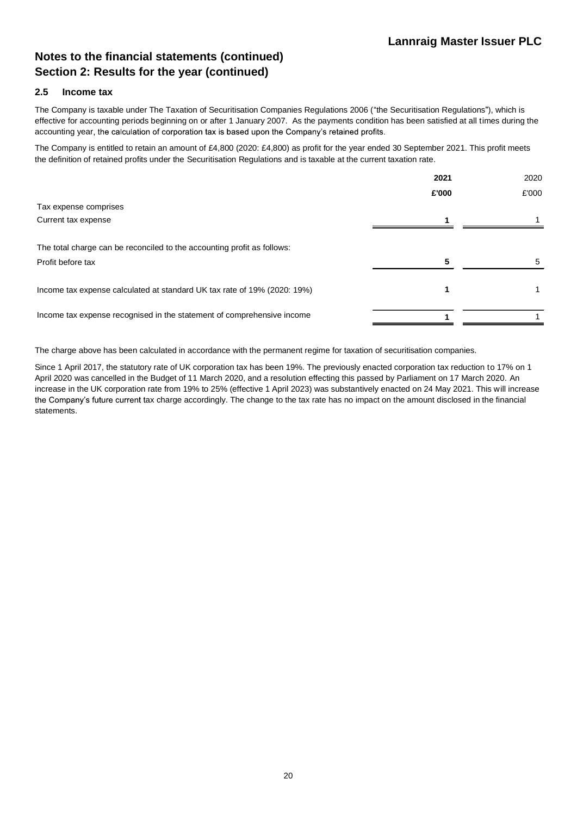# **Notes to the financial statements (continued) Section 2: Results for the year (continued)**

### **2.5 Income tax**

The Company is taxable under The Taxation of Securitisation Companies Regulations 2006 ("the Securitisation Regulations"), which is effective for accounting periods beginning on or after 1 January 2007. As the payments condition has been satisfied at all times during the accounting year, the calculation of corporation tax is based upon the Company's retained profits.

The Company is entitled to retain an amount of £4,800 (2020: £4,800) as profit for the year ended 30 September 2021. This profit meets the definition of retained profits under the Securitisation Regulations and is taxable at the current taxation rate.

|                                                                                              | 2021  | 2020  |
|----------------------------------------------------------------------------------------------|-------|-------|
|                                                                                              | £'000 | £'000 |
| Tax expense comprises                                                                        |       |       |
| Current tax expense                                                                          |       |       |
| The total charge can be reconciled to the accounting profit as follows:<br>Profit before tax | 5     |       |
|                                                                                              |       |       |
| Income tax expense calculated at standard UK tax rate of 19% (2020: 19%)                     |       |       |
| Income tax expense recognised in the statement of comprehensive income                       |       |       |

The charge above has been calculated in accordance with the permanent regime for taxation of securitisation companies.

Since 1 April 2017, the statutory rate of UK corporation tax has been 19%. The previously enacted corporation tax reduction to 17% on 1 April 2020 was cancelled in the Budget of 11 March 2020, and a resolution effecting this passed by Parliament on 17 March 2020. An increase in the UK corporation rate from 19% to 25% (effective 1 April 2023) was substantively enacted on 24 May 2021. This will increase the Company's future current tax charge accordingly. The change to the tax rate has no impact on the amount disclosed in the financial statements.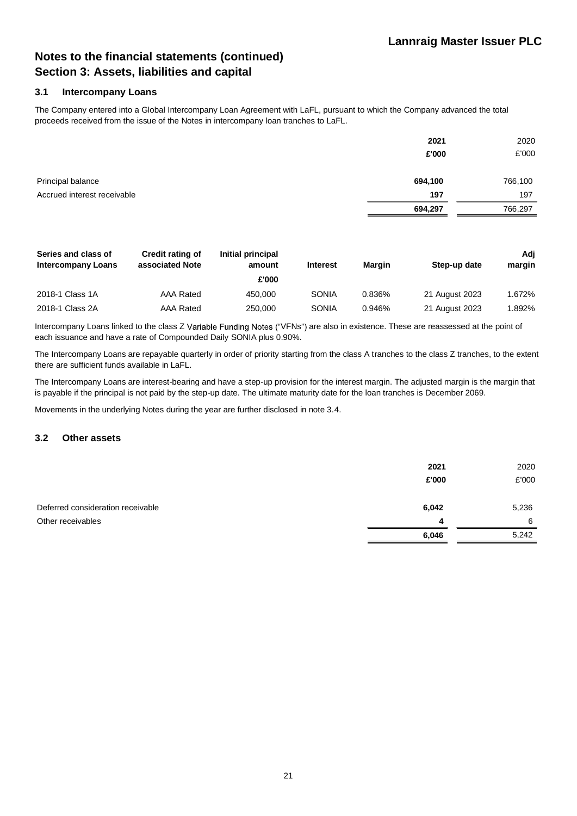### **3.1 Intercompany Loans**

The Company entered into a Global Intercompany Loan Agreement with LaFL, pursuant to which the Company advanced the total proceeds received from the issue of the Notes in intercompany loan tranches to LaFL.

|                             | 2021<br>£'000 | 2020<br>£'000 |
|-----------------------------|---------------|---------------|
| Principal balance           | 694,100       | 766,100       |
| Accrued interest receivable | 197           | 197           |
|                             | 694,297       | 766,297       |

| Series and class of<br><b>Intercompany Loans</b> | <b>Credit rating of</b><br>associated Note | Initial principal<br>amount<br>£'000 | <b>Interest</b> | <b>Margin</b> | Step-up date   | Adi<br>margin |
|--------------------------------------------------|--------------------------------------------|--------------------------------------|-----------------|---------------|----------------|---------------|
| 2018-1 Class 1A                                  | AAA Rated                                  | 450.000                              | SONIA           | 0.836%        | 21 August 2023 | 1.672%        |
| 2018-1 Class 2A                                  | AAA Rated                                  | 250,000                              | SONIA           | 0.946%        | 21 August 2023 | 1.892%        |

Intercompany Loans linked to the class Z Variable Funding Notes ("VFNs") are also in existence. These are reassessed at the point of each issuance and have a rate of Compounded Daily SONIA plus 0.90%.

The Intercompany Loans are repayable quarterly in order of priority starting from the class A tranches to the class Z tranches, to the extent there are sufficient funds available in LaFL.

The Intercompany Loans are interest-bearing and have a step-up provision for the interest margin. The adjusted margin is the margin that is payable if the principal is not paid by the step-up date. The ultimate maturity date for the loan tranches is December 2069.

Movements in the underlying Notes during the year are further disclosed in note 3.4.

#### **3.2 Other assets**

|                                   | 2021<br>£'000 | 2020<br>£'000 |
|-----------------------------------|---------------|---------------|
| Deferred consideration receivable | 6,042         | 5,236         |
| Other receivables                 | 4             | - 6           |
|                                   | 6,046         | 5,242         |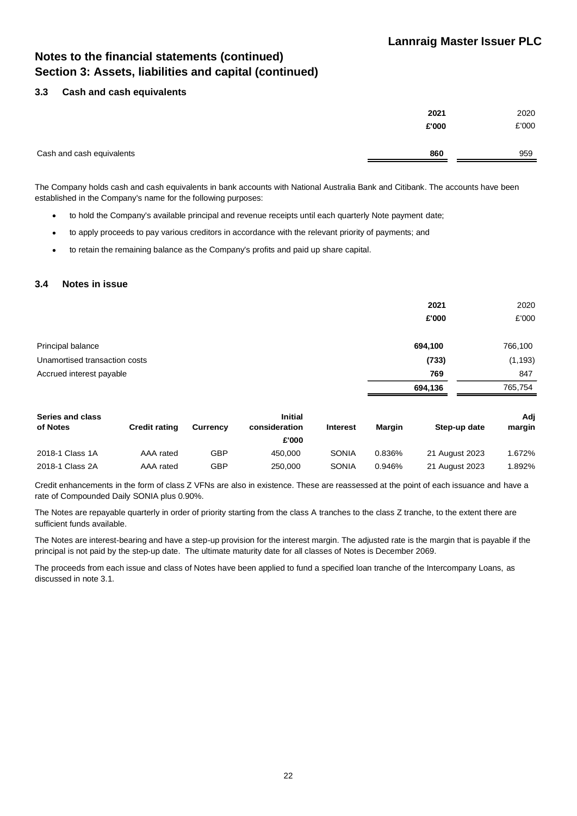### **3.3 Cash and cash equivalents**

|                           | 2021  | 2020  |
|---------------------------|-------|-------|
|                           | £'000 | £'000 |
|                           |       |       |
| Cash and cash equivalents | 860   | 959   |
|                           |       |       |

The Company holds cash and cash equivalents in bank accounts with National Australia Bank and Citibank. The accounts have been established in the Company's name for the following purposes:

- to hold the Company's available principal and revenue receipts until each quarterly Note payment date;
- to apply proceeds to pay various creditors in accordance with the relevant priority of payments; and
- to retain the remaining balance as the Company's profits and paid up share capital.

### **3.4 Notes in issue**

|                               | 2021<br>£'000 | 2020<br>£'000 |
|-------------------------------|---------------|---------------|
| Principal balance             | 694,100       | 766,100       |
| Unamortised transaction costs | (733)         | (1, 193)      |
| Accrued interest payable      | 769           | 847           |
|                               | 694,136       | 765,754       |

| Series and class<br>of Notes | <b>Credit rating</b> | <b>Currency</b> | <b>Initial</b><br>consideration<br>£'000 | <b>Interest</b> | Margin | Step-up date   | Adj<br>margin |
|------------------------------|----------------------|-----------------|------------------------------------------|-----------------|--------|----------------|---------------|
| 2018-1 Class 1A              | AAA rated            | GBP             | 450.000                                  | <b>SONIA</b>    | 0.836% | 21 August 2023 | 1.672%        |
| 2018-1 Class 2A              | AAA rated            | GBP             | 250,000                                  | SONIA           | 0.946% | 21 August 2023 | 1.892%        |

Credit enhancements in the form of class Z VFNs are also in existence. These are reassessed at the point of each issuance and have a rate of Compounded Daily SONIA plus 0.90%.

The Notes are repayable quarterly in order of priority starting from the class A tranches to the class Z tranche, to the extent there are sufficient funds available.

The Notes are interest-bearing and have a step-up provision for the interest margin. The adjusted rate is the margin that is payable if the principal is not paid by the step-up date. The ultimate maturity date for all classes of Notes is December 2069.

The proceeds from each issue and class of Notes have been applied to fund a specified loan tranche of the Intercompany Loans, as discussed in note 3.1.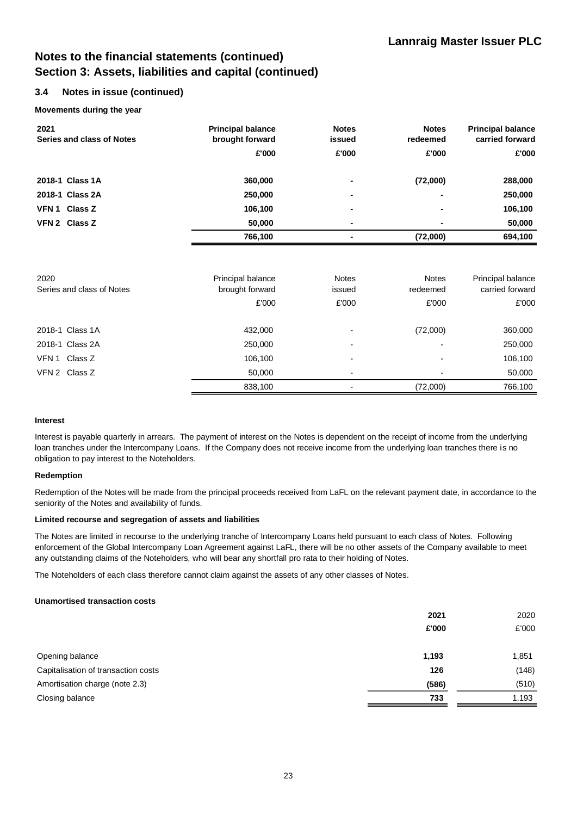### **3.4 Notes in issue (continued)**

#### **Movements during the year**

| 2021<br><b>Series and class of Notes</b> | <b>Principal balance</b><br>brought forward | <b>Notes</b><br>issued | <b>Notes</b><br>redeemed | <b>Principal balance</b><br>carried forward |
|------------------------------------------|---------------------------------------------|------------------------|--------------------------|---------------------------------------------|
|                                          | £'000                                       | £'000                  | £'000                    | £'000                                       |
| 2018-1 Class 1A                          | 360,000                                     | ۰                      | (72,000)                 | 288,000                                     |
| 2018-1 Class 2A                          | 250,000                                     | ۰                      | $\blacksquare$           | 250,000                                     |
| VFN 1 Class Z                            | 106,100                                     | ٠                      | $\blacksquare$           | 106,100                                     |
| VFN 2 Class Z                            | 50,000                                      | ٠                      | $\blacksquare$           | 50,000                                      |
|                                          | 766,100                                     |                        | (72,000)                 | 694,100                                     |
|                                          |                                             |                        |                          |                                             |
|                                          |                                             |                        |                          |                                             |

| 2020<br>Series and class of Notes | Principal balance<br>brought forward | <b>Notes</b><br>issued   | <b>Notes</b><br>redeemed | Principal balance<br>carried forward |
|-----------------------------------|--------------------------------------|--------------------------|--------------------------|--------------------------------------|
|                                   |                                      |                          |                          |                                      |
|                                   | £'000                                | £'000                    | £'000                    | £'000                                |
| 2018-1 Class 1A                   | 432,000                              | $\overline{\phantom{0}}$ | (72,000)                 | 360,000                              |
|                                   |                                      |                          |                          |                                      |
| 2018-1 Class 2A                   | 250,000                              | $\overline{\phantom{0}}$ | -                        | 250,000                              |
| VFN 1 Class Z                     | 106,100                              | $\overline{\phantom{0}}$ | $\overline{\phantom{0}}$ | 106,100                              |
| VFN 2 Class Z                     | 50,000                               | $\overline{\phantom{0}}$ |                          | 50,000                               |
|                                   | 838,100                              |                          | (72,000)                 | 766,100                              |

#### **Interest**

Interest is payable quarterly in arrears. The payment of interest on the Notes is dependent on the receipt of income from the underlying loan tranches under the Intercompany Loans. If the Company does not receive income from the underlying loan tranches there is no obligation to pay interest to the Noteholders.

#### **Redemption**

Redemption of the Notes will be made from the principal proceeds received from LaFL on the relevant payment date, in accordance to the seniority of the Notes and availability of funds.

#### **Limited recourse and segregation of assets and liabilities**

The Notes are limited in recourse to the underlying tranche of Intercompany Loans held pursuant to each class of Notes. Following enforcement of the Global Intercompany Loan Agreement against LaFL, there will be no other assets of the Company available to meet any outstanding claims of the Noteholders, who will bear any shortfall pro rata to their holding of Notes.

The Noteholders of each class therefore cannot claim against the assets of any other classes of Notes.

#### **Unamortised transaction costs**

|                                     | 2021<br>£'000 | 2020<br>£'000 |
|-------------------------------------|---------------|---------------|
| Opening balance                     | 1,193         | 1,851         |
| Capitalisation of transaction costs | 126           | (148)         |
| Amortisation charge (note 2.3)      | (586)         | (510)         |
| Closing balance                     | 733           | 1,193         |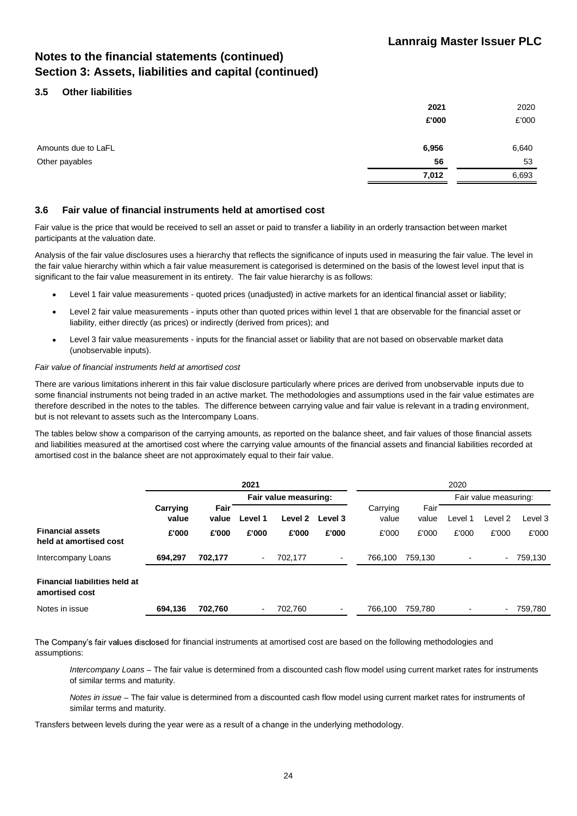### **3.5 Other liabilities**

|                     | 2021  | 2020  |
|---------------------|-------|-------|
|                     | £'000 | £'000 |
| Amounts due to LaFL | 6,956 | 6,640 |
| Other payables      | 56    | 53    |
|                     | 7,012 | 6,693 |

#### **3.6 Fair value of financial instruments held at amortised cost**

Fair value is the price that would be received to sell an asset or paid to transfer a liability in an orderly transaction between market participants at the valuation date.

Analysis of the fair value disclosures uses a hierarchy that reflects the significance of inputs used in measuring the fair value. The level in the fair value hierarchy within which a fair value measurement is categorised is determined on the basis of the lowest level input that is significant to the fair value measurement in its entirety. The fair value hierarchy is as follows:

- Level 1 fair value measurements quoted prices (unadjusted) in active markets for an identical financial asset or liability;
- Level 2 fair value measurements inputs other than quoted prices within level 1 that are observable for the financial asset or liability, either directly (as prices) or indirectly (derived from prices); and
- Level 3 fair value measurements inputs for the financial asset or liability that are not based on observable market data (unobservable inputs).

#### *Fair value of financial instruments held at amortised cost*

There are various limitations inherent in this fair value disclosure particularly where prices are derived from unobservable inputs due to some financial instruments not being traded in an active market. The methodologies and assumptions used in the fair value estimates are therefore described in the notes to the tables. The difference between carrying value and fair value is relevant in a trading environment, but is not relevant to assets such as the Intercompany Loans.

The tables below show a comparison of the carrying amounts, as reported on the balance sheet, and fair values of those financial assets and liabilities measured at the amortised cost where the carrying value amounts of the financial assets and financial liabilities recorded at amortised cost in the balance sheet are not approximately equal to their fair value.

|                                                        | 2021              |               |                          | 2020                  |                          |                   |               |         |                       |         |  |
|--------------------------------------------------------|-------------------|---------------|--------------------------|-----------------------|--------------------------|-------------------|---------------|---------|-----------------------|---------|--|
|                                                        |                   |               |                          | Fair value measuring: |                          |                   |               |         | Fair value measuring: |         |  |
|                                                        | Carrying<br>value | Fair<br>value | Level 1                  | Level 2               | Level 3                  | Carrying<br>value | Fair<br>value | Level 1 | Level 2               | Level 3 |  |
| <b>Financial assets</b><br>held at amortised cost      | £'000             | £'000         | £'000                    | £'000                 | £'000                    | £'000             | £'000         | £'000   | £'000                 | £'000   |  |
| Intercompany Loans                                     | 694.297           | 702,177       | $\blacksquare$           | 702,177               | $\blacksquare$           | 766.100           | 759,130       |         | $\sim$                | 759,130 |  |
| <b>Financial liabilities held at</b><br>amortised cost |                   |               |                          |                       |                          |                   |               |         |                       |         |  |
| Notes in issue                                         | 694,136           | 702,760       | $\overline{\phantom{a}}$ | 702.760               | $\overline{\phantom{a}}$ | 766.100           | 759.780       |         | $\sim$                | 759.780 |  |

The Company's fair values disclosed for financial instruments at amortised cost are based on the following methodologies and assumptions:

*Intercompany Loans* - The fair value is determined from a discounted cash flow model using current market rates for instruments of similar terms and maturity.

*Notes in issue* - The fair value is determined from a discounted cash flow model using current market rates for instruments of similar terms and maturity.

Transfers between levels during the year were as a result of a change in the underlying methodology.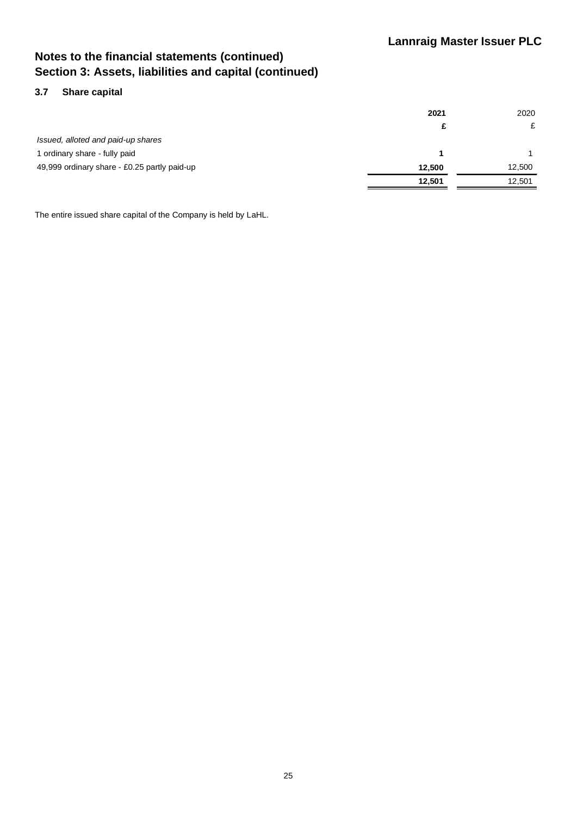### **3.7 Share capital**

|                                              | 2021   | 2020   |
|----------------------------------------------|--------|--------|
|                                              | £      | £      |
| Issued, alloted and paid-up shares           |        |        |
| 1 ordinary share - fully paid                |        |        |
| 49,999 ordinary share - £0.25 partly paid-up | 12.500 | 12.500 |
|                                              | 12.501 | 12,501 |

The entire issued share capital of the Company is held by LaHL.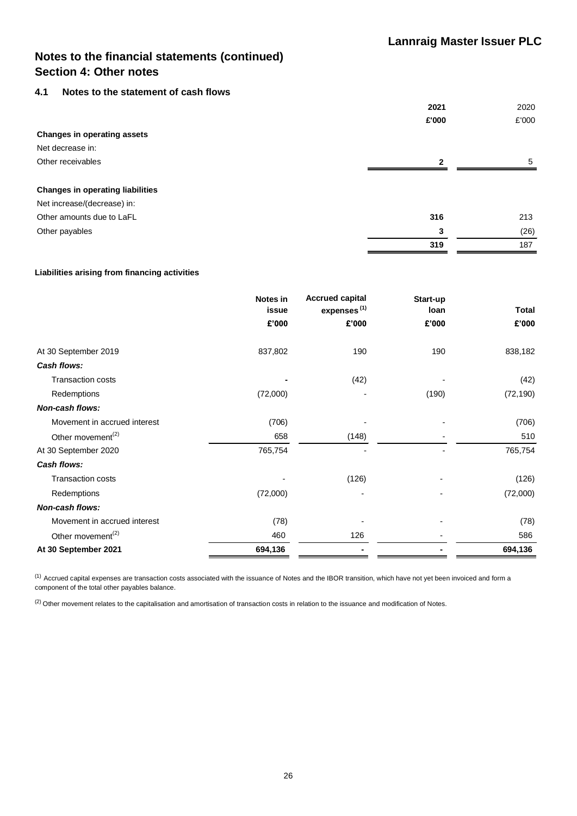### **4.1 Notes to the statement of cash flows**

|                                         | 2021         | 2020  |
|-----------------------------------------|--------------|-------|
|                                         | £'000        | £'000 |
| <b>Changes in operating assets</b>      |              |       |
| Net decrease in:                        |              |       |
| Other receivables                       | $\mathbf{2}$ | 5     |
|                                         |              |       |
| <b>Changes in operating liabilities</b> |              |       |
| Net increase/(decrease) in:             |              |       |
| Other amounts due to LaFL               | 316          | 213   |
| Other payables                          | 3            | (26)  |
|                                         | 319          | 187   |

#### **Liabilities arising from financing activities**

|                               | Notes in<br>issue | <b>Accrued capital</b><br>expenses <sup>(1)</sup> | Start-up<br>loan | <b>Total</b> |
|-------------------------------|-------------------|---------------------------------------------------|------------------|--------------|
|                               | £'000             | £'000                                             | £'000            | £'000        |
| At 30 September 2019          | 837,802           | 190                                               | 190              | 838,182      |
| <b>Cash flows:</b>            |                   |                                                   |                  |              |
| <b>Transaction costs</b>      |                   | (42)                                              |                  | (42)         |
| Redemptions                   | (72,000)          |                                                   | (190)            | (72, 190)    |
| <b>Non-cash flows:</b>        |                   |                                                   |                  |              |
| Movement in accrued interest  | (706)             |                                                   |                  | (706)        |
| Other movement <sup>(2)</sup> | 658               | (148)                                             |                  | 510          |
| At 30 September 2020          | 765,754           |                                                   |                  | 765,754      |
| Cash flows:                   |                   |                                                   |                  |              |
| <b>Transaction costs</b>      |                   | (126)                                             |                  | (126)        |
| Redemptions                   | (72,000)          |                                                   |                  | (72,000)     |
| <b>Non-cash flows:</b>        |                   |                                                   |                  |              |
| Movement in accrued interest  | (78)              |                                                   |                  | (78)         |
| Other movement <sup>(2)</sup> | 460               | 126                                               |                  | 586          |
| At 30 September 2021          | 694,136           |                                                   |                  | 694,136      |

(1) Accrued capital expenses are transaction costs associated with the issuance of Notes and the IBOR transition, which have not yet been invoiced and form a component of the total other payables balance.

 $(2)$  Other movement relates to the capitalisation and amortisation of transaction costs in relation to the issuance and modification of Notes.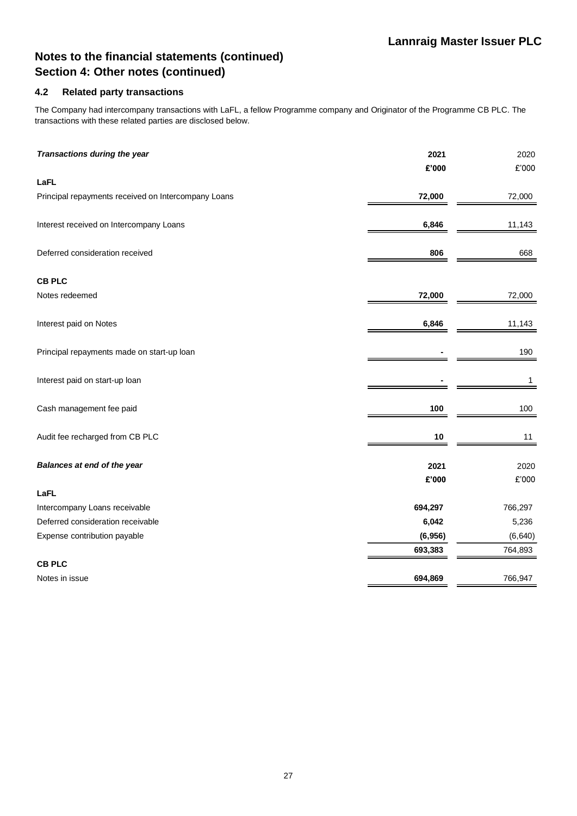### **4.2 Related party transactions**

The Company had intercompany transactions with LaFL, a fellow Programme company and Originator of the Programme CB PLC. The transactions with these related parties are disclosed below.

| Transactions during the year                        | 2021<br>£'000 | 2020<br>£'000 |
|-----------------------------------------------------|---------------|---------------|
| LaFL                                                |               |               |
| Principal repayments received on Intercompany Loans | 72,000        | 72,000        |
| Interest received on Intercompany Loans             | 6,846         | 11,143        |
| Deferred consideration received                     | 806           | 668           |
| <b>CB PLC</b>                                       |               |               |
| Notes redeemed                                      | 72,000        | 72,000        |
| Interest paid on Notes                              | 6,846         | 11,143        |
| Principal repayments made on start-up loan          |               | 190           |
| Interest paid on start-up loan                      |               | $\mathbf{1}$  |
| Cash management fee paid                            | 100           | 100           |
| Audit fee recharged from CB PLC                     | 10            | 11            |
| Balances at end of the year                         | 2021<br>£'000 | 2020<br>£'000 |
| LaFL                                                |               |               |
| Intercompany Loans receivable                       | 694,297       | 766,297       |
| Deferred consideration receivable                   | 6,042         | 5,236         |
| Expense contribution payable                        | (6,956)       | (6, 640)      |
|                                                     | 693,383       | 764,893       |
| <b>CB PLC</b>                                       |               |               |
| Notes in issue                                      | 694,869       | 766,947       |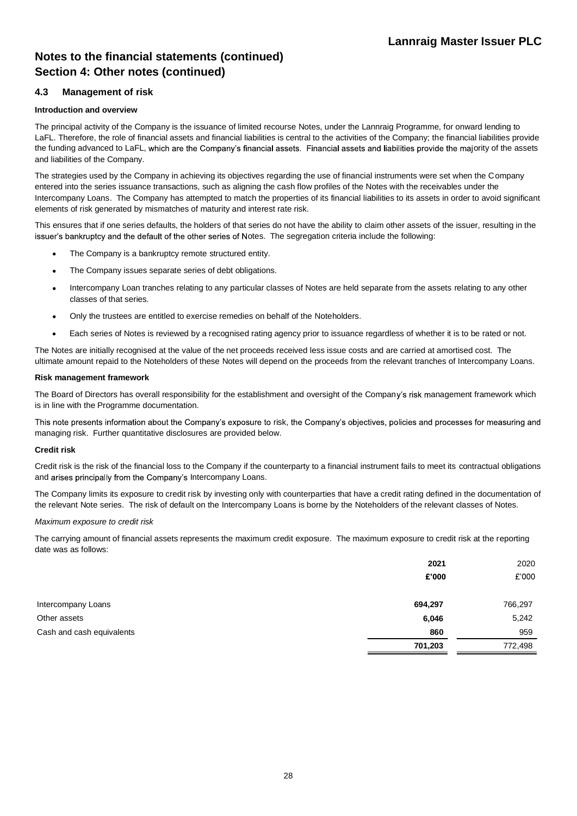### **4.3 Management of risk**

#### **Introduction and overview**

The principal activity of the Company is the issuance of limited recourse Notes, under the Lannraig Programme, for onward lending to LaFL. Therefore, the role of financial assets and financial liabilities is central to the activities of the Company; the financial liabilities provide the funding advanced to LaFL, which are the Company's financial assets. Financial assets and liabilities provide the majority of the assets and liabilities of the Company.

The strategies used by the Company in achieving its objectives regarding the use of financial instruments were set when the Company entered into the series issuance transactions, such as aligning the cash flow profiles of the Notes with the receivables under the Intercompany Loans. The Company has attempted to match the properties of its financial liabilities to its assets in order to avoid significant elements of risk generated by mismatches of maturity and interest rate risk.

This ensures that if one series defaults, the holders of that series do not have the ability to claim other assets of the issuer, resulting in the issuer's bankruptcy and the default of the other series of Notes. The segregation criteria include the following:

- The Company is a bankruptcy remote structured entity.
- The Company issues separate series of debt obligations.
- Intercompany Loan tranches relating to any particular classes of Notes are held separate from the assets relating to any other classes of that series.
- Only the trustees are entitled to exercise remedies on behalf of the Noteholders.
- Each series of Notes is reviewed by a recognised rating agency prior to issuance regardless of whether it is to be rated or not.  $\bullet$

The Notes are initially recognised at the value of the net proceeds received less issue costs and are carried at amortised cost. The ultimate amount repaid to the Noteholders of these Notes will depend on the proceeds from the relevant tranches of Intercompany Loans.

#### **Risk management framework**

The Board of Directors has overall responsibility for the establishment and oversight of the Company's risk management framework which is in line with the Programme documentation.

This note presents information about the Company's exposure to risk, the Company's objectives, policies and processes for measuring and managing risk. Further quantitative disclosures are provided below.

#### **Credit risk**

Credit risk is the risk of the financial loss to the Company if the counterparty to a financial instrument fails to meet its contractual obligations and arises principally from the Company's Intercompany Loans.

The Company limits its exposure to credit risk by investing only with counterparties that have a credit rating defined in the documentation of the relevant Note series. The risk of default on the Intercompany Loans is borne by the Noteholders of the relevant classes of Notes.

#### *Maximum exposure to credit risk*

The carrying amount of financial assets represents the maximum credit exposure. The maximum exposure to credit risk at the reporting date was as follows:

|                           | 2021    | 2020    |
|---------------------------|---------|---------|
|                           | £'000   | £'000   |
| Intercompany Loans        | 694,297 | 766,297 |
| Other assets              | 6,046   | 5,242   |
| Cash and cash equivalents | 860     | 959     |
|                           | 701,203 | 772,498 |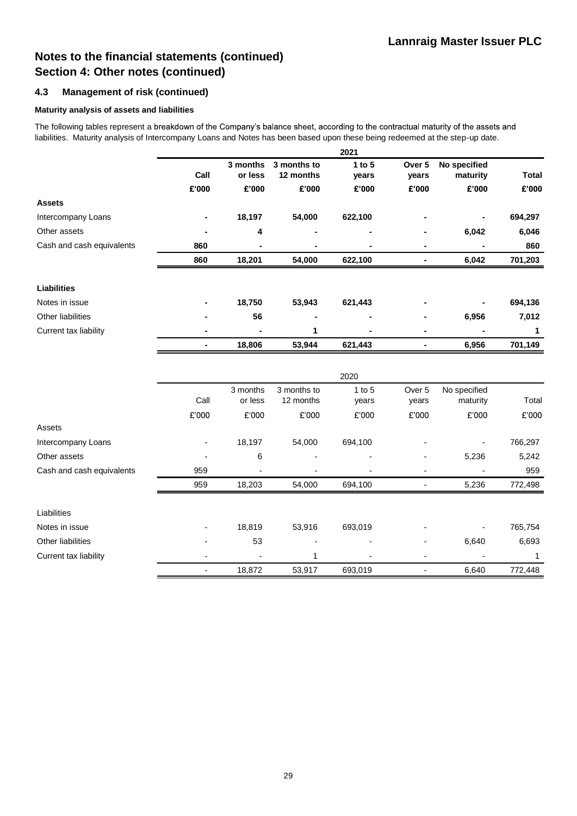### **4.3 Management of risk (continued)**

#### **Maturity analysis of assets and liabilities**

The following tables represent a breakdown of the Company's balance sheet, according to the contractual maturity of the assets and liabilities. Maturity analysis of Intercompany Loans and Notes has been based upon these being redeemed at the step-up date.

|                           |       |          |             | 2021       |                          |              |              |
|---------------------------|-------|----------|-------------|------------|--------------------------|--------------|--------------|
|                           |       | 3 months | 3 months to | $1$ to $5$ | Over <sub>5</sub>        | No specified |              |
|                           | Call  | or less  | 12 months   | years      | years                    | maturity     | <b>Total</b> |
|                           | £'000 | £'000    | £'000       | £'000      | £'000                    | £'000        | £'000        |
| <b>Assets</b>             |       |          |             |            |                          |              |              |
| Intercompany Loans        |       | 18,197   | 54,000      | 622,100    |                          |              | 694,297      |
| Other assets              |       | 4        |             |            |                          | 6,042        | 6,046        |
| Cash and cash equivalents | 860   |          |             |            | $\blacksquare$           |              | 860          |
|                           | 860   | 18,201   | 54,000      | 622,100    | $\blacksquare$           | 6,042        | 701,203      |
| <b>Liabilities</b>        |       |          |             |            |                          |              |              |
| Notes in issue            |       | 18,750   | 53,943      | 621,443    |                          |              | 694,136      |
| Other liabilities         |       | 56       |             |            |                          | 6,956        | 7,012        |
| Current tax liability     |       |          | 1           |            |                          |              | 1            |
|                           | ٠     | 18,806   | 53,944      | 621,443    | ٠                        | 6,956        | 701,149      |
|                           |       |          |             | 2020       |                          |              |              |
|                           |       | 3 months | 3 months to | $1$ to $5$ | Over <sub>5</sub>        | No specified |              |
|                           | Call  | or less  | 12 months   | years      | years                    | maturity     | Total        |
|                           | £'000 | £'000    | £'000       | £'000      | £'000                    | £'000        | £'000        |
| Assets                    |       |          |             |            |                          |              |              |
| Intercompany Loans        | ÷,    | 18,197   | 54,000      | 694,100    |                          |              | 766,297      |
| Other assets              |       | 6        |             |            |                          | 5,236        | 5,242        |
| Cash and cash equivalents | 959   |          |             |            |                          |              | 959          |
|                           | 959   | 18,203   | 54,000      | 694,100    |                          | 5,236        | 772,498      |
| Liabilities               |       |          |             |            |                          |              |              |
| Notes in issue            |       | 18,819   | 53,916      | 693,019    |                          |              | 765,754      |
| Other liabilities         |       | 53       |             |            |                          | 6,640        | 6,693        |
| Current tax liability     |       |          | 1           |            | $\overline{\phantom{a}}$ |              | 1            |
|                           |       | 18,872   | 53,917      | 693,019    | L,                       | 6,640        | 772,448      |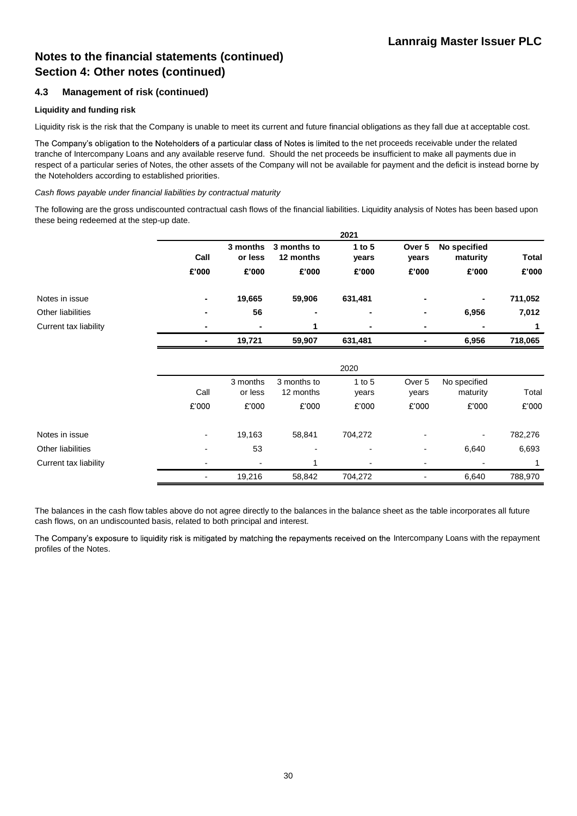### **4.3 Management of risk (continued)**

#### **Liquidity and funding risk**

Liquidity risk is the risk that the Company is unable to meet its current and future financial obligations as they fall due at acceptable cost.

The Company's obligation to the Noteholders of a particular class of Notes is limited to the net proceeds receivable under the related tranche of Intercompany Loans and any available reserve fund. Should the net proceeds be insufficient to make all payments due in respect of a particular series of Notes, the other assets of the Company will not be available for payment and the deficit is instead borne by the Noteholders according to established priorities.

#### *Cash flows payable under financial liabilities by contractual maturity*

The following are the gross undiscounted contractual cash flows of the financial liabilities. Liquidity analysis of Notes has been based upon these being redeemed at the step-up date.

**2021**

|                       |                          |                     |                          | ZUZI              |                          |                          |         |
|-----------------------|--------------------------|---------------------|--------------------------|-------------------|--------------------------|--------------------------|---------|
|                       | Call                     | 3 months<br>or less | 3 months to<br>12 months | 1 to $5$<br>years | Over 5<br>years          | No specified<br>maturity | Total   |
|                       | £'000                    | £'000               | £'000                    | £'000             | £'000                    | £'000                    | £'000   |
| Notes in issue        |                          | 19,665              | 59,906                   | 631,481           |                          |                          | 711,052 |
| Other liabilities     |                          | 56                  |                          | ۰                 | ۰                        | 6,956                    | 7,012   |
| Current tax liability |                          |                     | 1                        |                   | ۰                        |                          | 1       |
|                       | ٠                        | 19,721              | 59,907                   | 631,481           |                          | 6,956                    | 718,065 |
|                       |                          |                     |                          | 2020              |                          |                          |         |
|                       | Call                     | 3 months<br>or less | 3 months to<br>12 months | 1 to $5$<br>years | Over 5<br>years          | No specified<br>maturity | Total   |
|                       | £'000                    | £'000               | £'000                    | £'000             | £'000                    | £'000                    | £'000   |
| Notes in issue        | $\overline{\phantom{a}}$ | 19,163              | 58,841                   | 704,272           |                          |                          | 782,276 |
| Other liabilities     |                          | 53                  |                          |                   | $\overline{\phantom{0}}$ | 6,640                    | 6,693   |
| Current tax liability |                          |                     |                          |                   |                          |                          |         |
|                       | $\overline{\phantom{a}}$ | 19,216              | 58,842                   | 704,272           |                          | 6,640                    | 788,970 |

The balances in the cash flow tables above do not agree directly to the balances in the balance sheet as the table incorporates all future cash flows, on an undiscounted basis, related to both principal and interest.

The Company's exposure to liquidity risk is mitigated by matching the repayments received on the Intercompany Loans with the repayment profiles of the Notes.